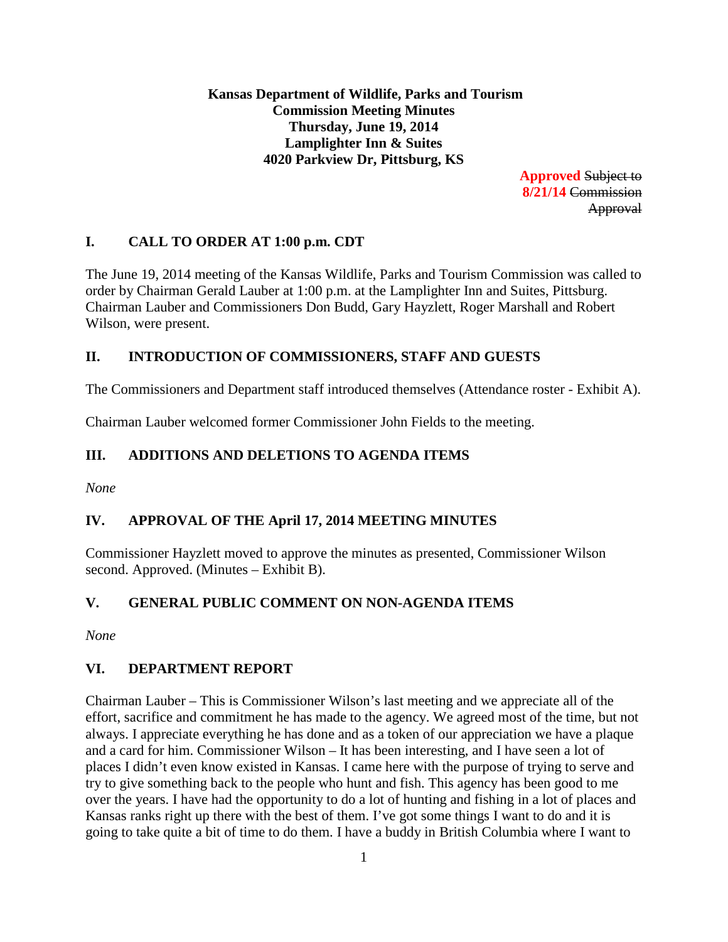**Kansas Department of Wildlife, Parks and Tourism Commission Meeting Minutes Thursday, June 19, 2014 Lamplighter Inn & Suites 4020 Parkview Dr, Pittsburg, KS**

> **Approved** Subject to **8/21/14** Commission Approval

# **I. CALL TO ORDER AT 1:00 p.m. CDT**

The June 19, 2014 meeting of the Kansas Wildlife, Parks and Tourism Commission was called to order by Chairman Gerald Lauber at 1:00 p.m. at the Lamplighter Inn and Suites, Pittsburg. Chairman Lauber and Commissioners Don Budd, Gary Hayzlett, Roger Marshall and Robert Wilson, were present.

# **II. INTRODUCTION OF COMMISSIONERS, STAFF AND GUESTS**

The Commissioners and Department staff introduced themselves (Attendance roster - Exhibit A).

Chairman Lauber welcomed former Commissioner John Fields to the meeting.

# **III. ADDITIONS AND DELETIONS TO AGENDA ITEMS**

*None*

# **IV. APPROVAL OF THE April 17, 2014 MEETING MINUTES**

Commissioner Hayzlett moved to approve the minutes as presented, Commissioner Wilson second. Approved. (Minutes – Exhibit B).

# **V. GENERAL PUBLIC COMMENT ON NON-AGENDA ITEMS**

*None*

# **VI. DEPARTMENT REPORT**

Chairman Lauber – This is Commissioner Wilson's last meeting and we appreciate all of the effort, sacrifice and commitment he has made to the agency. We agreed most of the time, but not always. I appreciate everything he has done and as a token of our appreciation we have a plaque and a card for him. Commissioner Wilson – It has been interesting, and I have seen a lot of places I didn't even know existed in Kansas. I came here with the purpose of trying to serve and try to give something back to the people who hunt and fish. This agency has been good to me over the years. I have had the opportunity to do a lot of hunting and fishing in a lot of places and Kansas ranks right up there with the best of them. I've got some things I want to do and it is going to take quite a bit of time to do them. I have a buddy in British Columbia where I want to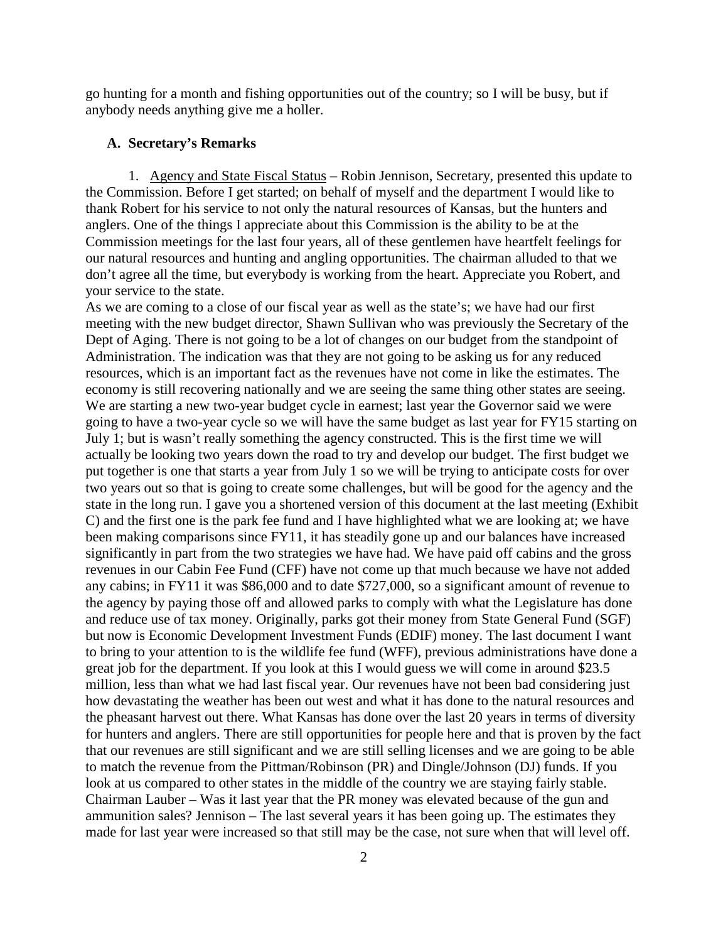go hunting for a month and fishing opportunities out of the country; so I will be busy, but if anybody needs anything give me a holler.

### **A. Secretary's Remarks**

1. Agency and State Fiscal Status – Robin Jennison, Secretary, presented this update to the Commission. Before I get started; on behalf of myself and the department I would like to thank Robert for his service to not only the natural resources of Kansas, but the hunters and anglers. One of the things I appreciate about this Commission is the ability to be at the Commission meetings for the last four years, all of these gentlemen have heartfelt feelings for our natural resources and hunting and angling opportunities. The chairman alluded to that we don't agree all the time, but everybody is working from the heart. Appreciate you Robert, and your service to the state.

As we are coming to a close of our fiscal year as well as the state's; we have had our first meeting with the new budget director, Shawn Sullivan who was previously the Secretary of the Dept of Aging. There is not going to be a lot of changes on our budget from the standpoint of Administration. The indication was that they are not going to be asking us for any reduced resources, which is an important fact as the revenues have not come in like the estimates. The economy is still recovering nationally and we are seeing the same thing other states are seeing. We are starting a new two-year budget cycle in earnest; last year the Governor said we were going to have a two-year cycle so we will have the same budget as last year for FY15 starting on July 1; but is wasn't really something the agency constructed. This is the first time we will actually be looking two years down the road to try and develop our budget. The first budget we put together is one that starts a year from July 1 so we will be trying to anticipate costs for over two years out so that is going to create some challenges, but will be good for the agency and the state in the long run. I gave you a shortened version of this document at the last meeting (Exhibit C) and the first one is the park fee fund and I have highlighted what we are looking at; we have been making comparisons since FY11, it has steadily gone up and our balances have increased significantly in part from the two strategies we have had. We have paid off cabins and the gross revenues in our Cabin Fee Fund (CFF) have not come up that much because we have not added any cabins; in FY11 it was \$86,000 and to date \$727,000, so a significant amount of revenue to the agency by paying those off and allowed parks to comply with what the Legislature has done and reduce use of tax money. Originally, parks got their money from State General Fund (SGF) but now is Economic Development Investment Funds (EDIF) money. The last document I want to bring to your attention to is the wildlife fee fund (WFF), previous administrations have done a great job for the department. If you look at this I would guess we will come in around \$23.5 million, less than what we had last fiscal year. Our revenues have not been bad considering just how devastating the weather has been out west and what it has done to the natural resources and the pheasant harvest out there. What Kansas has done over the last 20 years in terms of diversity for hunters and anglers. There are still opportunities for people here and that is proven by the fact that our revenues are still significant and we are still selling licenses and we are going to be able to match the revenue from the Pittman/Robinson (PR) and Dingle/Johnson (DJ) funds. If you look at us compared to other states in the middle of the country we are staying fairly stable. Chairman Lauber – Was it last year that the PR money was elevated because of the gun and ammunition sales? Jennison – The last several years it has been going up. The estimates they made for last year were increased so that still may be the case, not sure when that will level off.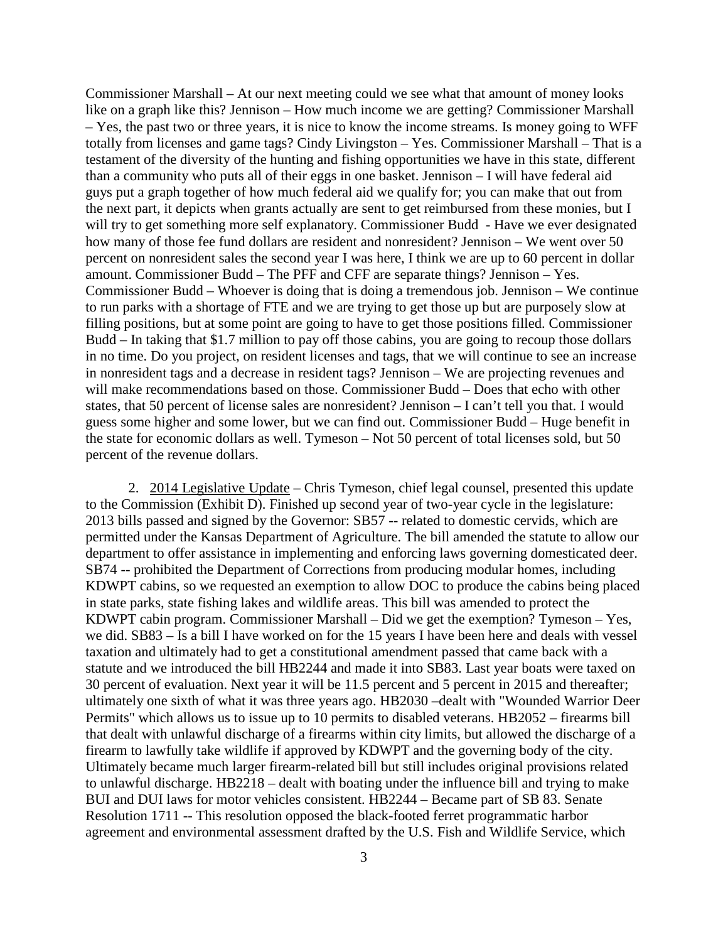Commissioner Marshall – At our next meeting could we see what that amount of money looks like on a graph like this? Jennison – How much income we are getting? Commissioner Marshall – Yes, the past two or three years, it is nice to know the income streams. Is money going to WFF totally from licenses and game tags? Cindy Livingston – Yes. Commissioner Marshall – That is a testament of the diversity of the hunting and fishing opportunities we have in this state, different than a community who puts all of their eggs in one basket. Jennison – I will have federal aid guys put a graph together of how much federal aid we qualify for; you can make that out from the next part, it depicts when grants actually are sent to get reimbursed from these monies, but I will try to get something more self explanatory. Commissioner Budd - Have we ever designated how many of those fee fund dollars are resident and nonresident? Jennison – We went over 50 percent on nonresident sales the second year I was here, I think we are up to 60 percent in dollar amount. Commissioner Budd – The PFF and CFF are separate things? Jennison – Yes. Commissioner Budd – Whoever is doing that is doing a tremendous job. Jennison – We continue to run parks with a shortage of FTE and we are trying to get those up but are purposely slow at filling positions, but at some point are going to have to get those positions filled. Commissioner Budd – In taking that \$1.7 million to pay off those cabins, you are going to recoup those dollars in no time. Do you project, on resident licenses and tags, that we will continue to see an increase in nonresident tags and a decrease in resident tags? Jennison – We are projecting revenues and will make recommendations based on those. Commissioner Budd – Does that echo with other states, that 50 percent of license sales are nonresident? Jennison – I can't tell you that. I would guess some higher and some lower, but we can find out. Commissioner Budd – Huge benefit in the state for economic dollars as well. Tymeson – Not 50 percent of total licenses sold, but 50 percent of the revenue dollars.

2. 2014 Legislative Update – Chris Tymeson, chief legal counsel, presented this update to the Commission (Exhibit D). Finished up second year of two-year cycle in the legislature: 2013 bills passed and signed by the Governor: SB57 -- related to domestic cervids, which are permitted under the Kansas Department of Agriculture. The bill amended the statute to allow our department to offer assistance in implementing and enforcing laws governing domesticated deer. SB74 -- prohibited the Department of Corrections from producing modular homes, including KDWPT cabins, so we requested an exemption to allow DOC to produce the cabins being placed in state parks, state fishing lakes and wildlife areas. This bill was amended to protect the KDWPT cabin program. Commissioner Marshall – Did we get the exemption? Tymeson – Yes, we did. SB83 – Is a bill I have worked on for the 15 years I have been here and deals with vessel taxation and ultimately had to get a constitutional amendment passed that came back with a statute and we introduced the bill HB2244 and made it into SB83. Last year boats were taxed on 30 percent of evaluation. Next year it will be 11.5 percent and 5 percent in 2015 and thereafter; ultimately one sixth of what it was three years ago. HB2030 –dealt with "Wounded Warrior Deer Permits" which allows us to issue up to 10 permits to disabled veterans. HB2052 – firearms bill that dealt with unlawful discharge of a firearms within city limits, but allowed the discharge of a firearm to lawfully take wildlife if approved by KDWPT and the governing body of the city. Ultimately became much larger firearm-related bill but still includes original provisions related to unlawful discharge. HB2218 – dealt with boating under the influence bill and trying to make BUI and DUI laws for motor vehicles consistent. HB2244 – Became part of SB 83. Senate Resolution 1711 -- This resolution opposed the black-footed ferret programmatic harbor agreement and environmental assessment drafted by the U.S. Fish and Wildlife Service, which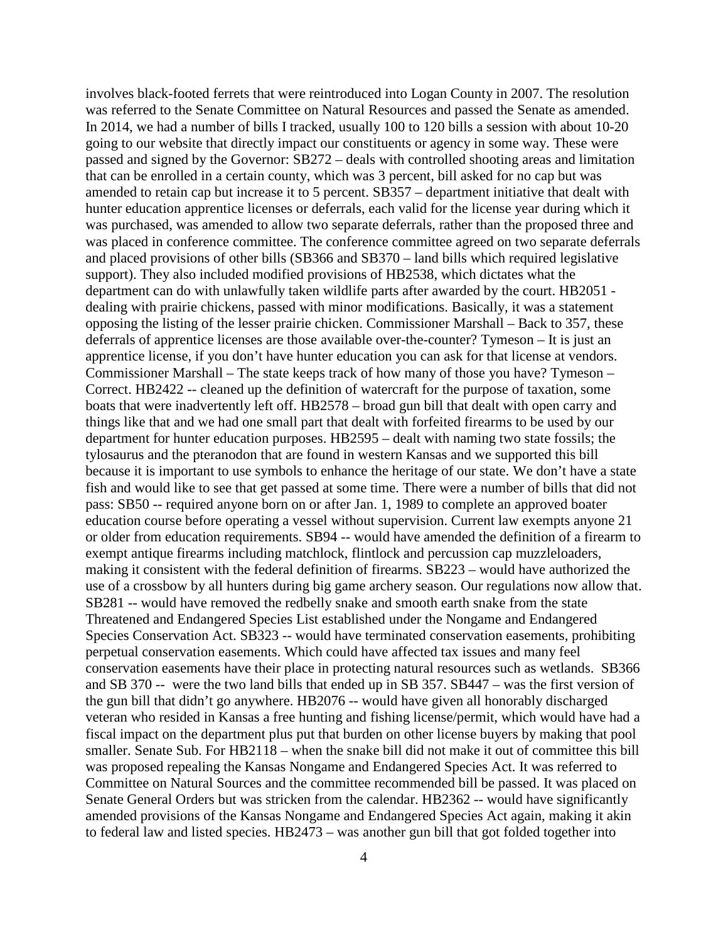involves black-footed ferrets that were reintroduced into Logan County in 2007. The resolution was referred to the Senate Committee on Natural Resources and passed the Senate as amended. In 2014, we had a number of bills I tracked, usually 100 to 120 bills a session with about 10-20 going to our website that directly impact our constituents or agency in some way. These were passed and signed by the Governor: SB272 – deals with controlled shooting areas and limitation that can be enrolled in a certain county, which was 3 percent, bill asked for no cap but was amended to retain cap but increase it to 5 percent. SB357 – department initiative that dealt with hunter education apprentice licenses or deferrals, each valid for the license year during which it was purchased, was amended to allow two separate deferrals, rather than the proposed three and was placed in conference committee. The conference committee agreed on two separate deferrals and placed provisions of other bills (SB366 and SB370 – land bills which required legislative support). They also included modified provisions of HB2538, which dictates what the department can do with unlawfully taken wildlife parts after awarded by the court. HB2051 dealing with prairie chickens, passed with minor modifications. Basically, it was a statement opposing the listing of the lesser prairie chicken. Commissioner Marshall – Back to 357, these deferrals of apprentice licenses are those available over-the-counter? Tymeson – It is just an apprentice license, if you don't have hunter education you can ask for that license at vendors. Commissioner Marshall – The state keeps track of how many of those you have? Tymeson – Correct. HB2422 -- cleaned up the definition of watercraft for the purpose of taxation, some boats that were inadvertently left off. HB2578 – broad gun bill that dealt with open carry and things like that and we had one small part that dealt with forfeited firearms to be used by our department for hunter education purposes. HB2595 – dealt with naming two state fossils; the tylosaurus and the pteranodon that are found in western Kansas and we supported this bill because it is important to use symbols to enhance the heritage of our state. We don't have a state fish and would like to see that get passed at some time. There were a number of bills that did not pass: SB50 -- required anyone born on or after Jan. 1, 1989 to complete an approved boater education course before operating a vessel without supervision. Current law exempts anyone 21 or older from education requirements. SB94 -- would have amended the definition of a firearm to exempt antique firearms including matchlock, flintlock and percussion cap muzzleloaders, making it consistent with the federal definition of firearms. SB223 – would have authorized the use of a crossbow by all hunters during big game archery season. Our regulations now allow that. SB281 -- would have removed the redbelly snake and smooth earth snake from the state Threatened and Endangered Species List established under the Nongame and Endangered Species Conservation Act. SB323 -- would have terminated conservation easements, prohibiting perpetual conservation easements. Which could have affected tax issues and many feel conservation easements have their place in protecting natural resources such as wetlands. SB366 and SB 370 -- were the two land bills that ended up in SB 357. SB447 – was the first version of the gun bill that didn't go anywhere. HB2076 -- would have given all honorably discharged veteran who resided in Kansas a free hunting and fishing license/permit, which would have had a fiscal impact on the department plus put that burden on other license buyers by making that pool smaller. Senate Sub. For HB2118 – when the snake bill did not make it out of committee this bill was proposed repealing the Kansas Nongame and Endangered Species Act. It was referred to Committee on Natural Sources and the committee recommended bill be passed. It was placed on Senate General Orders but was stricken from the calendar. HB2362 -- would have significantly amended provisions of the Kansas Nongame and Endangered Species Act again, making it akin to federal law and listed species. HB2473 – was another gun bill that got folded together into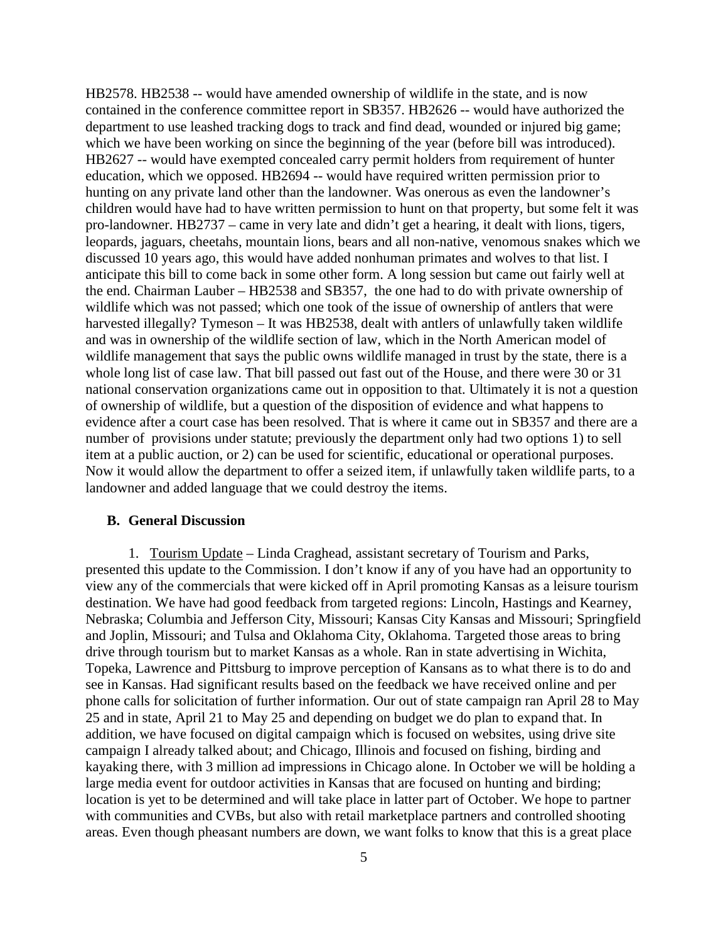HB2578. HB2538 -- would have amended ownership of wildlife in the state, and is now contained in the conference committee report in SB357. HB2626 -- would have authorized the department to use leashed tracking dogs to track and find dead, wounded or injured big game; which we have been working on since the beginning of the year (before bill was introduced). HB2627 -- would have exempted concealed carry permit holders from requirement of hunter education, which we opposed. HB2694 -- would have required written permission prior to hunting on any private land other than the landowner. Was onerous as even the landowner's children would have had to have written permission to hunt on that property, but some felt it was pro-landowner. HB2737 – came in very late and didn't get a hearing, it dealt with lions, tigers, leopards, jaguars, cheetahs, mountain lions, bears and all non-native, venomous snakes which we discussed 10 years ago, this would have added nonhuman primates and wolves to that list. I anticipate this bill to come back in some other form. A long session but came out fairly well at the end. Chairman Lauber – HB2538 and SB357, the one had to do with private ownership of wildlife which was not passed; which one took of the issue of ownership of antlers that were harvested illegally? Tymeson – It was HB2538, dealt with antlers of unlawfully taken wildlife and was in ownership of the wildlife section of law, which in the North American model of wildlife management that says the public owns wildlife managed in trust by the state, there is a whole long list of case law. That bill passed out fast out of the House, and there were 30 or 31 national conservation organizations came out in opposition to that. Ultimately it is not a question of ownership of wildlife, but a question of the disposition of evidence and what happens to evidence after a court case has been resolved. That is where it came out in SB357 and there are a number of provisions under statute; previously the department only had two options 1) to sell item at a public auction, or 2) can be used for scientific, educational or operational purposes. Now it would allow the department to offer a seized item, if unlawfully taken wildlife parts, to a landowner and added language that we could destroy the items.

#### **B. General Discussion**

1. Tourism Update – Linda Craghead, assistant secretary of Tourism and Parks, presented this update to the Commission. I don't know if any of you have had an opportunity to view any of the commercials that were kicked off in April promoting Kansas as a leisure tourism destination. We have had good feedback from targeted regions: Lincoln, Hastings and Kearney, Nebraska; Columbia and Jefferson City, Missouri; Kansas City Kansas and Missouri; Springfield and Joplin, Missouri; and Tulsa and Oklahoma City, Oklahoma. Targeted those areas to bring drive through tourism but to market Kansas as a whole. Ran in state advertising in Wichita, Topeka, Lawrence and Pittsburg to improve perception of Kansans as to what there is to do and see in Kansas. Had significant results based on the feedback we have received online and per phone calls for solicitation of further information. Our out of state campaign ran April 28 to May 25 and in state, April 21 to May 25 and depending on budget we do plan to expand that. In addition, we have focused on digital campaign which is focused on websites, using drive site campaign I already talked about; and Chicago, Illinois and focused on fishing, birding and kayaking there, with 3 million ad impressions in Chicago alone. In October we will be holding a large media event for outdoor activities in Kansas that are focused on hunting and birding; location is yet to be determined and will take place in latter part of October. We hope to partner with communities and CVBs, but also with retail marketplace partners and controlled shooting areas. Even though pheasant numbers are down, we want folks to know that this is a great place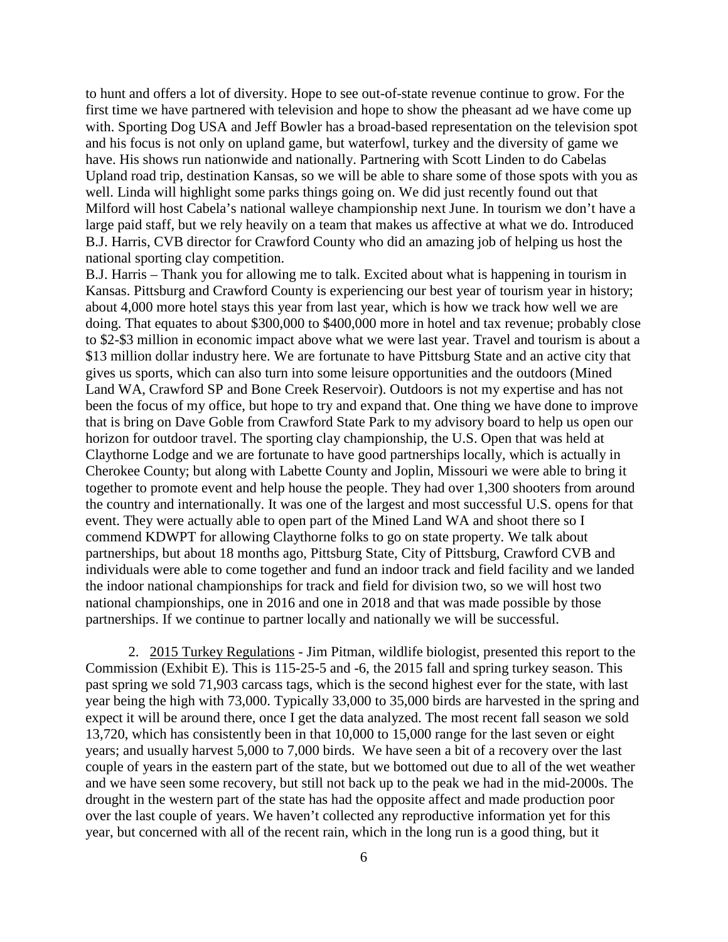to hunt and offers a lot of diversity. Hope to see out-of-state revenue continue to grow. For the first time we have partnered with television and hope to show the pheasant ad we have come up with. Sporting Dog USA and Jeff Bowler has a broad-based representation on the television spot and his focus is not only on upland game, but waterfowl, turkey and the diversity of game we have. His shows run nationwide and nationally. Partnering with Scott Linden to do Cabelas Upland road trip, destination Kansas, so we will be able to share some of those spots with you as well. Linda will highlight some parks things going on. We did just recently found out that Milford will host Cabela's national walleye championship next June. In tourism we don't have a large paid staff, but we rely heavily on a team that makes us affective at what we do. Introduced B.J. Harris, CVB director for Crawford County who did an amazing job of helping us host the national sporting clay competition.

B.J. Harris – Thank you for allowing me to talk. Excited about what is happening in tourism in Kansas. Pittsburg and Crawford County is experiencing our best year of tourism year in history; about 4,000 more hotel stays this year from last year, which is how we track how well we are doing. That equates to about \$300,000 to \$400,000 more in hotel and tax revenue; probably close to \$2-\$3 million in economic impact above what we were last year. Travel and tourism is about a \$13 million dollar industry here. We are fortunate to have Pittsburg State and an active city that gives us sports, which can also turn into some leisure opportunities and the outdoors (Mined Land WA, Crawford SP and Bone Creek Reservoir). Outdoors is not my expertise and has not been the focus of my office, but hope to try and expand that. One thing we have done to improve that is bring on Dave Goble from Crawford State Park to my advisory board to help us open our horizon for outdoor travel. The sporting clay championship, the U.S. Open that was held at Claythorne Lodge and we are fortunate to have good partnerships locally, which is actually in Cherokee County; but along with Labette County and Joplin, Missouri we were able to bring it together to promote event and help house the people. They had over 1,300 shooters from around the country and internationally. It was one of the largest and most successful U.S. opens for that event. They were actually able to open part of the Mined Land WA and shoot there so I commend KDWPT for allowing Claythorne folks to go on state property. We talk about partnerships, but about 18 months ago, Pittsburg State, City of Pittsburg, Crawford CVB and individuals were able to come together and fund an indoor track and field facility and we landed the indoor national championships for track and field for division two, so we will host two national championships, one in 2016 and one in 2018 and that was made possible by those partnerships. If we continue to partner locally and nationally we will be successful.

2. 2015 Turkey Regulations - Jim Pitman, wildlife biologist, presented this report to the Commission (Exhibit E). This is 115-25-5 and -6, the 2015 fall and spring turkey season. This past spring we sold 71,903 carcass tags, which is the second highest ever for the state, with last year being the high with 73,000. Typically 33,000 to 35,000 birds are harvested in the spring and expect it will be around there, once I get the data analyzed. The most recent fall season we sold 13,720, which has consistently been in that 10,000 to 15,000 range for the last seven or eight years; and usually harvest 5,000 to 7,000 birds. We have seen a bit of a recovery over the last couple of years in the eastern part of the state, but we bottomed out due to all of the wet weather and we have seen some recovery, but still not back up to the peak we had in the mid-2000s. The drought in the western part of the state has had the opposite affect and made production poor over the last couple of years. We haven't collected any reproductive information yet for this year, but concerned with all of the recent rain, which in the long run is a good thing, but it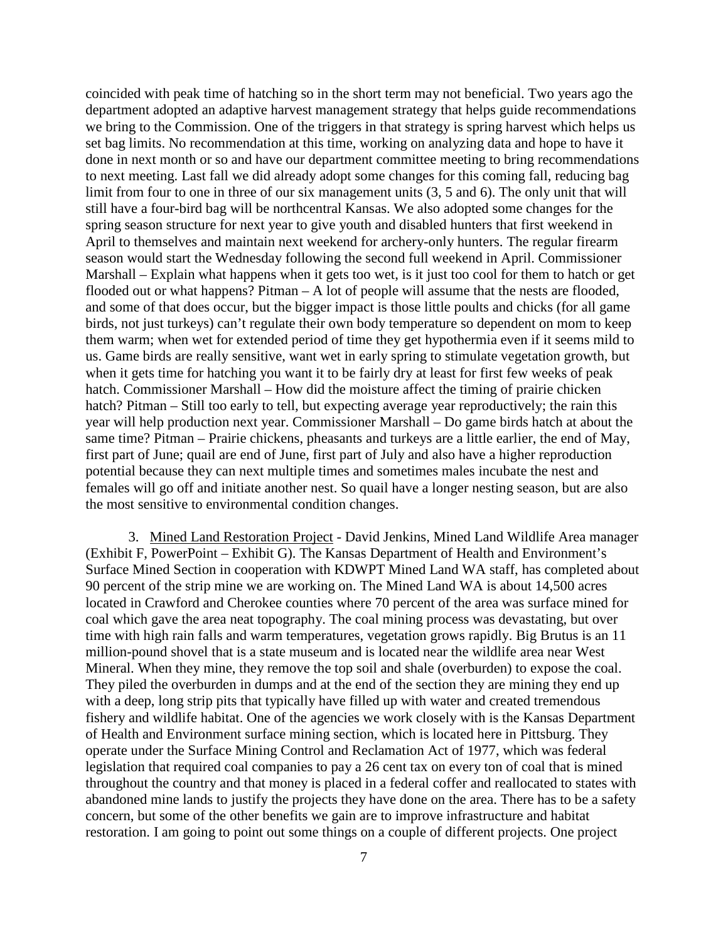coincided with peak time of hatching so in the short term may not beneficial. Two years ago the department adopted an adaptive harvest management strategy that helps guide recommendations we bring to the Commission. One of the triggers in that strategy is spring harvest which helps us set bag limits. No recommendation at this time, working on analyzing data and hope to have it done in next month or so and have our department committee meeting to bring recommendations to next meeting. Last fall we did already adopt some changes for this coming fall, reducing bag limit from four to one in three of our six management units (3, 5 and 6). The only unit that will still have a four-bird bag will be northcentral Kansas. We also adopted some changes for the spring season structure for next year to give youth and disabled hunters that first weekend in April to themselves and maintain next weekend for archery-only hunters. The regular firearm season would start the Wednesday following the second full weekend in April. Commissioner Marshall – Explain what happens when it gets too wet, is it just too cool for them to hatch or get flooded out or what happens? Pitman – A lot of people will assume that the nests are flooded, and some of that does occur, but the bigger impact is those little poults and chicks (for all game birds, not just turkeys) can't regulate their own body temperature so dependent on mom to keep them warm; when wet for extended period of time they get hypothermia even if it seems mild to us. Game birds are really sensitive, want wet in early spring to stimulate vegetation growth, but when it gets time for hatching you want it to be fairly dry at least for first few weeks of peak hatch. Commissioner Marshall – How did the moisture affect the timing of prairie chicken hatch? Pitman – Still too early to tell, but expecting average year reproductively; the rain this year will help production next year. Commissioner Marshall – Do game birds hatch at about the same time? Pitman – Prairie chickens, pheasants and turkeys are a little earlier, the end of May, first part of June; quail are end of June, first part of July and also have a higher reproduction potential because they can next multiple times and sometimes males incubate the nest and females will go off and initiate another nest. So quail have a longer nesting season, but are also the most sensitive to environmental condition changes.

3. Mined Land Restoration Project - David Jenkins, Mined Land Wildlife Area manager (Exhibit F, PowerPoint – Exhibit G). The Kansas Department of Health and Environment's Surface Mined Section in cooperation with KDWPT Mined Land WA staff, has completed about 90 percent of the strip mine we are working on. The Mined Land WA is about 14,500 acres located in Crawford and Cherokee counties where 70 percent of the area was surface mined for coal which gave the area neat topography. The coal mining process was devastating, but over time with high rain falls and warm temperatures, vegetation grows rapidly. Big Brutus is an 11 million-pound shovel that is a state museum and is located near the wildlife area near West Mineral. When they mine, they remove the top soil and shale (overburden) to expose the coal. They piled the overburden in dumps and at the end of the section they are mining they end up with a deep, long strip pits that typically have filled up with water and created tremendous fishery and wildlife habitat. One of the agencies we work closely with is the Kansas Department of Health and Environment surface mining section, which is located here in Pittsburg. They operate under the Surface Mining Control and Reclamation Act of 1977, which was federal legislation that required coal companies to pay a 26 cent tax on every ton of coal that is mined throughout the country and that money is placed in a federal coffer and reallocated to states with abandoned mine lands to justify the projects they have done on the area. There has to be a safety concern, but some of the other benefits we gain are to improve infrastructure and habitat restoration. I am going to point out some things on a couple of different projects. One project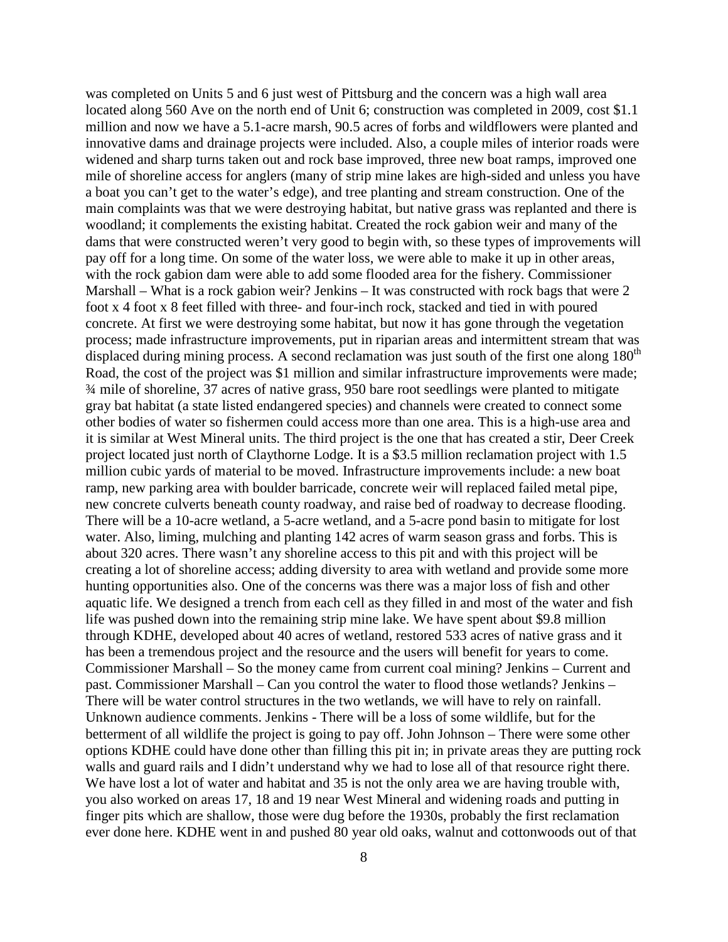was completed on Units 5 and 6 just west of Pittsburg and the concern was a high wall area located along 560 Ave on the north end of Unit 6; construction was completed in 2009, cost \$1.1 million and now we have a 5.1-acre marsh, 90.5 acres of forbs and wildflowers were planted and innovative dams and drainage projects were included. Also, a couple miles of interior roads were widened and sharp turns taken out and rock base improved, three new boat ramps, improved one mile of shoreline access for anglers (many of strip mine lakes are high-sided and unless you have a boat you can't get to the water's edge), and tree planting and stream construction. One of the main complaints was that we were destroying habitat, but native grass was replanted and there is woodland; it complements the existing habitat. Created the rock gabion weir and many of the dams that were constructed weren't very good to begin with, so these types of improvements will pay off for a long time. On some of the water loss, we were able to make it up in other areas, with the rock gabion dam were able to add some flooded area for the fishery. Commissioner Marshall – What is a rock gabion weir? Jenkins – It was constructed with rock bags that were 2 foot x 4 foot x 8 feet filled with three- and four-inch rock, stacked and tied in with poured concrete. At first we were destroying some habitat, but now it has gone through the vegetation process; made infrastructure improvements, put in riparian areas and intermittent stream that was displaced during mining process. A second reclamation was just south of the first one along  $180<sup>th</sup>$ Road, the cost of the project was \$1 million and similar infrastructure improvements were made; ¾ mile of shoreline, 37 acres of native grass, 950 bare root seedlings were planted to mitigate gray bat habitat (a state listed endangered species) and channels were created to connect some other bodies of water so fishermen could access more than one area. This is a high-use area and it is similar at West Mineral units. The third project is the one that has created a stir, Deer Creek project located just north of Claythorne Lodge. It is a \$3.5 million reclamation project with 1.5 million cubic yards of material to be moved. Infrastructure improvements include: a new boat ramp, new parking area with boulder barricade, concrete weir will replaced failed metal pipe, new concrete culverts beneath county roadway, and raise bed of roadway to decrease flooding. There will be a 10-acre wetland, a 5-acre wetland, and a 5-acre pond basin to mitigate for lost water. Also, liming, mulching and planting 142 acres of warm season grass and forbs. This is about 320 acres. There wasn't any shoreline access to this pit and with this project will be creating a lot of shoreline access; adding diversity to area with wetland and provide some more hunting opportunities also. One of the concerns was there was a major loss of fish and other aquatic life. We designed a trench from each cell as they filled in and most of the water and fish life was pushed down into the remaining strip mine lake. We have spent about \$9.8 million through KDHE, developed about 40 acres of wetland, restored 533 acres of native grass and it has been a tremendous project and the resource and the users will benefit for years to come. Commissioner Marshall – So the money came from current coal mining? Jenkins – Current and past. Commissioner Marshall – Can you control the water to flood those wetlands? Jenkins – There will be water control structures in the two wetlands, we will have to rely on rainfall. Unknown audience comments. Jenkins - There will be a loss of some wildlife, but for the betterment of all wildlife the project is going to pay off. John Johnson – There were some other options KDHE could have done other than filling this pit in; in private areas they are putting rock walls and guard rails and I didn't understand why we had to lose all of that resource right there. We have lost a lot of water and habitat and 35 is not the only area we are having trouble with, you also worked on areas 17, 18 and 19 near West Mineral and widening roads and putting in finger pits which are shallow, those were dug before the 1930s, probably the first reclamation ever done here. KDHE went in and pushed 80 year old oaks, walnut and cottonwoods out of that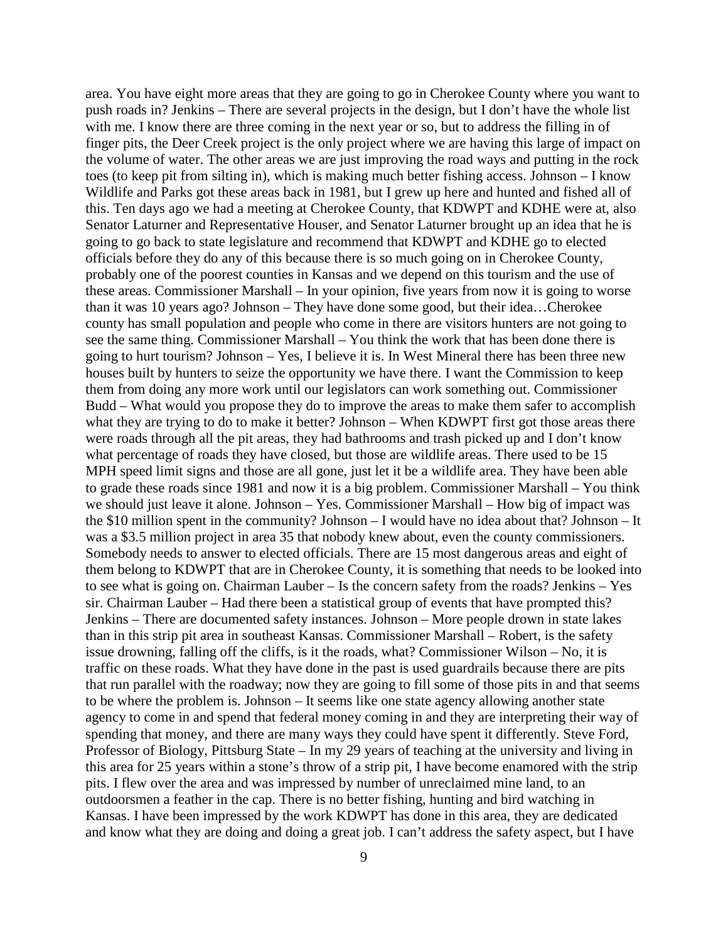area. You have eight more areas that they are going to go in Cherokee County where you want to push roads in? Jenkins – There are several projects in the design, but I don't have the whole list with me. I know there are three coming in the next year or so, but to address the filling in of finger pits, the Deer Creek project is the only project where we are having this large of impact on the volume of water. The other areas we are just improving the road ways and putting in the rock toes (to keep pit from silting in), which is making much better fishing access. Johnson – I know Wildlife and Parks got these areas back in 1981, but I grew up here and hunted and fished all of this. Ten days ago we had a meeting at Cherokee County, that KDWPT and KDHE were at, also Senator Laturner and Representative Houser, and Senator Laturner brought up an idea that he is going to go back to state legislature and recommend that KDWPT and KDHE go to elected officials before they do any of this because there is so much going on in Cherokee County, probably one of the poorest counties in Kansas and we depend on this tourism and the use of these areas. Commissioner Marshall – In your opinion, five years from now it is going to worse than it was 10 years ago? Johnson – They have done some good, but their idea…Cherokee county has small population and people who come in there are visitors hunters are not going to see the same thing. Commissioner Marshall – You think the work that has been done there is going to hurt tourism? Johnson – Yes, I believe it is. In West Mineral there has been three new houses built by hunters to seize the opportunity we have there. I want the Commission to keep them from doing any more work until our legislators can work something out. Commissioner Budd – What would you propose they do to improve the areas to make them safer to accomplish what they are trying to do to make it better? Johnson – When KDWPT first got those areas there were roads through all the pit areas, they had bathrooms and trash picked up and I don't know what percentage of roads they have closed, but those are wildlife areas. There used to be 15 MPH speed limit signs and those are all gone, just let it be a wildlife area. They have been able to grade these roads since 1981 and now it is a big problem. Commissioner Marshall – You think we should just leave it alone. Johnson – Yes. Commissioner Marshall – How big of impact was the \$10 million spent in the community? Johnson – I would have no idea about that? Johnson – It was a \$3.5 million project in area 35 that nobody knew about, even the county commissioners. Somebody needs to answer to elected officials. There are 15 most dangerous areas and eight of them belong to KDWPT that are in Cherokee County, it is something that needs to be looked into to see what is going on. Chairman Lauber – Is the concern safety from the roads? Jenkins – Yes sir. Chairman Lauber – Had there been a statistical group of events that have prompted this? Jenkins – There are documented safety instances. Johnson – More people drown in state lakes than in this strip pit area in southeast Kansas. Commissioner Marshall – Robert, is the safety issue drowning, falling off the cliffs, is it the roads, what? Commissioner Wilson – No, it is traffic on these roads. What they have done in the past is used guardrails because there are pits that run parallel with the roadway; now they are going to fill some of those pits in and that seems to be where the problem is. Johnson – It seems like one state agency allowing another state agency to come in and spend that federal money coming in and they are interpreting their way of spending that money, and there are many ways they could have spent it differently. Steve Ford, Professor of Biology, Pittsburg State – In my 29 years of teaching at the university and living in this area for 25 years within a stone's throw of a strip pit, I have become enamored with the strip pits. I flew over the area and was impressed by number of unreclaimed mine land, to an outdoorsmen a feather in the cap. There is no better fishing, hunting and bird watching in Kansas. I have been impressed by the work KDWPT has done in this area, they are dedicated and know what they are doing and doing a great job. I can't address the safety aspect, but I have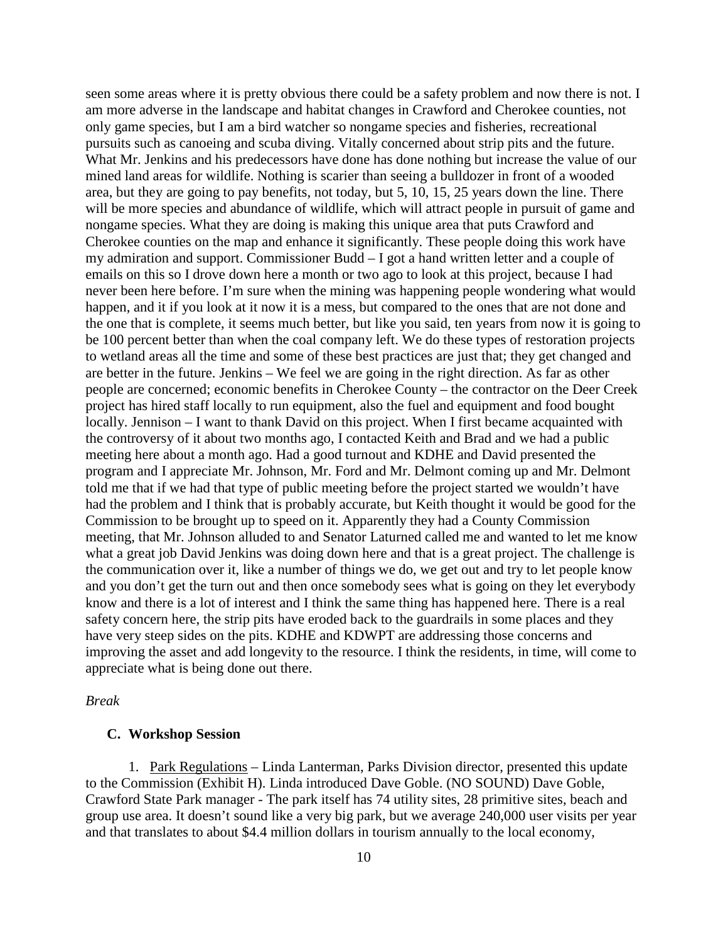seen some areas where it is pretty obvious there could be a safety problem and now there is not. I am more adverse in the landscape and habitat changes in Crawford and Cherokee counties, not only game species, but I am a bird watcher so nongame species and fisheries, recreational pursuits such as canoeing and scuba diving. Vitally concerned about strip pits and the future. What Mr. Jenkins and his predecessors have done has done nothing but increase the value of our mined land areas for wildlife. Nothing is scarier than seeing a bulldozer in front of a wooded area, but they are going to pay benefits, not today, but 5, 10, 15, 25 years down the line. There will be more species and abundance of wildlife, which will attract people in pursuit of game and nongame species. What they are doing is making this unique area that puts Crawford and Cherokee counties on the map and enhance it significantly. These people doing this work have my admiration and support. Commissioner Budd – I got a hand written letter and a couple of emails on this so I drove down here a month or two ago to look at this project, because I had never been here before. I'm sure when the mining was happening people wondering what would happen, and it if you look at it now it is a mess, but compared to the ones that are not done and the one that is complete, it seems much better, but like you said, ten years from now it is going to be 100 percent better than when the coal company left. We do these types of restoration projects to wetland areas all the time and some of these best practices are just that; they get changed and are better in the future. Jenkins – We feel we are going in the right direction. As far as other people are concerned; economic benefits in Cherokee County – the contractor on the Deer Creek project has hired staff locally to run equipment, also the fuel and equipment and food bought locally. Jennison – I want to thank David on this project. When I first became acquainted with the controversy of it about two months ago, I contacted Keith and Brad and we had a public meeting here about a month ago. Had a good turnout and KDHE and David presented the program and I appreciate Mr. Johnson, Mr. Ford and Mr. Delmont coming up and Mr. Delmont told me that if we had that type of public meeting before the project started we wouldn't have had the problem and I think that is probably accurate, but Keith thought it would be good for the Commission to be brought up to speed on it. Apparently they had a County Commission meeting, that Mr. Johnson alluded to and Senator Laturned called me and wanted to let me know what a great job David Jenkins was doing down here and that is a great project. The challenge is the communication over it, like a number of things we do, we get out and try to let people know and you don't get the turn out and then once somebody sees what is going on they let everybody know and there is a lot of interest and I think the same thing has happened here. There is a real safety concern here, the strip pits have eroded back to the guardrails in some places and they have very steep sides on the pits. KDHE and KDWPT are addressing those concerns and improving the asset and add longevity to the resource. I think the residents, in time, will come to appreciate what is being done out there.

#### *Break*

#### **C. Workshop Session**

1. Park Regulations – Linda Lanterman, Parks Division director, presented this update to the Commission (Exhibit H). Linda introduced Dave Goble. (NO SOUND) Dave Goble, Crawford State Park manager - The park itself has 74 utility sites, 28 primitive sites, beach and group use area. It doesn't sound like a very big park, but we average 240,000 user visits per year and that translates to about \$4.4 million dollars in tourism annually to the local economy,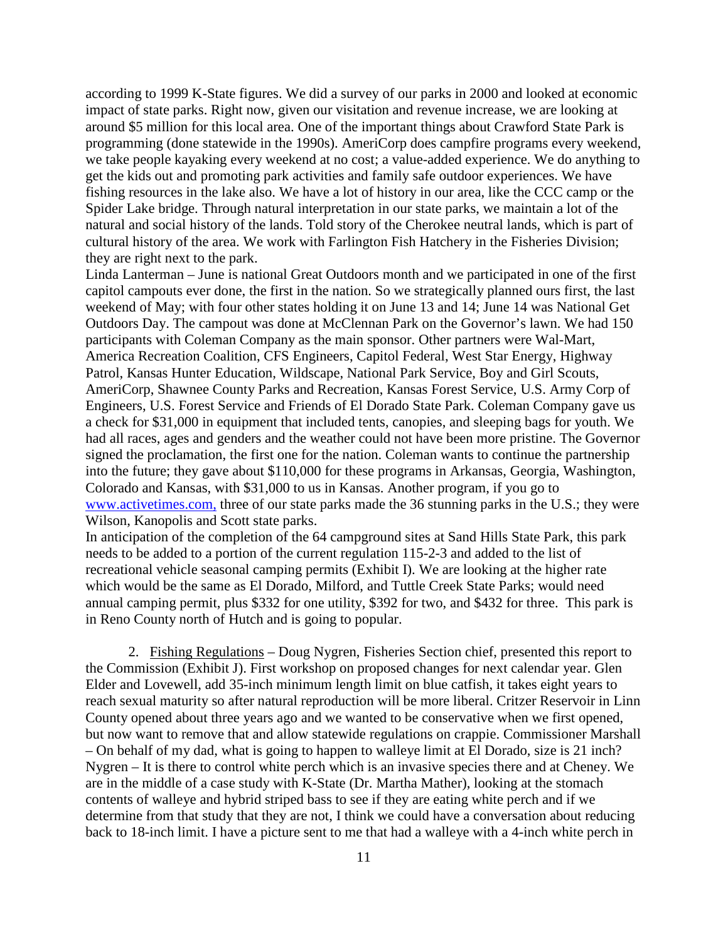according to 1999 K-State figures. We did a survey of our parks in 2000 and looked at economic impact of state parks. Right now, given our visitation and revenue increase, we are looking at around \$5 million for this local area. One of the important things about Crawford State Park is programming (done statewide in the 1990s). AmeriCorp does campfire programs every weekend, we take people kayaking every weekend at no cost; a value-added experience. We do anything to get the kids out and promoting park activities and family safe outdoor experiences. We have fishing resources in the lake also. We have a lot of history in our area, like the CCC camp or the Spider Lake bridge. Through natural interpretation in our state parks, we maintain a lot of the natural and social history of the lands. Told story of the Cherokee neutral lands, which is part of cultural history of the area. We work with Farlington Fish Hatchery in the Fisheries Division; they are right next to the park.

Linda Lanterman – June is national Great Outdoors month and we participated in one of the first capitol campouts ever done, the first in the nation. So we strategically planned ours first, the last weekend of May; with four other states holding it on June 13 and 14; June 14 was National Get Outdoors Day. The campout was done at McClennan Park on the Governor's lawn. We had 150 participants with Coleman Company as the main sponsor. Other partners were Wal-Mart, America Recreation Coalition, CFS Engineers, Capitol Federal, West Star Energy, Highway Patrol, Kansas Hunter Education, Wildscape, National Park Service, Boy and Girl Scouts, AmeriCorp, Shawnee County Parks and Recreation, Kansas Forest Service, U.S. Army Corp of Engineers, U.S. Forest Service and Friends of El Dorado State Park. Coleman Company gave us a check for \$31,000 in equipment that included tents, canopies, and sleeping bags for youth. We had all races, ages and genders and the weather could not have been more pristine. The Governor signed the proclamation, the first one for the nation. Coleman wants to continue the partnership into the future; they gave about \$110,000 for these programs in Arkansas, Georgia, Washington, Colorado and Kansas, with \$31,000 to us in Kansas. Another program, if you go to [www.activetimes.com,](http://www.activetimes.com/) three of our state parks made the 36 stunning parks in the U.S.; they were Wilson, Kanopolis and Scott state parks.

In anticipation of the completion of the 64 campground sites at Sand Hills State Park, this park needs to be added to a portion of the current regulation 115-2-3 and added to the list of recreational vehicle seasonal camping permits (Exhibit I). We are looking at the higher rate which would be the same as El Dorado, Milford, and Tuttle Creek State Parks; would need annual camping permit, plus \$332 for one utility, \$392 for two, and \$432 for three. This park is in Reno County north of Hutch and is going to popular.

2. Fishing Regulations – Doug Nygren, Fisheries Section chief, presented this report to the Commission (Exhibit J). First workshop on proposed changes for next calendar year. Glen Elder and Lovewell, add 35-inch minimum length limit on blue catfish, it takes eight years to reach sexual maturity so after natural reproduction will be more liberal. Critzer Reservoir in Linn County opened about three years ago and we wanted to be conservative when we first opened, but now want to remove that and allow statewide regulations on crappie. Commissioner Marshall – On behalf of my dad, what is going to happen to walleye limit at El Dorado, size is 21 inch? Nygren – It is there to control white perch which is an invasive species there and at Cheney. We are in the middle of a case study with K-State (Dr. Martha Mather), looking at the stomach contents of walleye and hybrid striped bass to see if they are eating white perch and if we determine from that study that they are not, I think we could have a conversation about reducing back to 18-inch limit. I have a picture sent to me that had a walleye with a 4-inch white perch in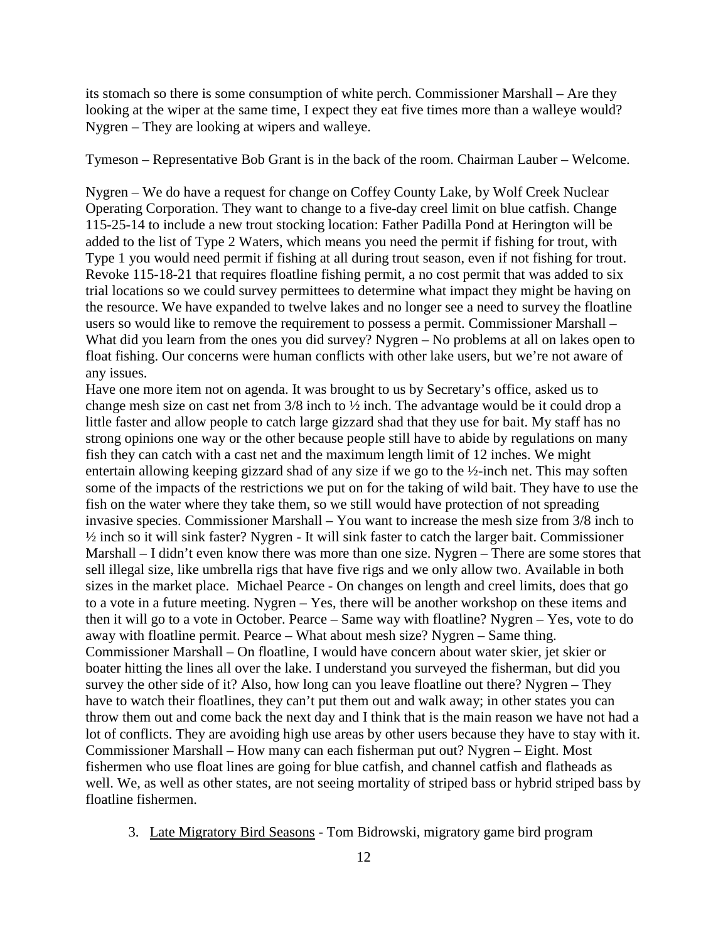its stomach so there is some consumption of white perch. Commissioner Marshall – Are they looking at the wiper at the same time, I expect they eat five times more than a walleye would? Nygren – They are looking at wipers and walleye.

Tymeson – Representative Bob Grant is in the back of the room. Chairman Lauber – Welcome.

Nygren – We do have a request for change on Coffey County Lake, by Wolf Creek Nuclear Operating Corporation. They want to change to a five-day creel limit on blue catfish. Change 115-25-14 to include a new trout stocking location: Father Padilla Pond at Herington will be added to the list of Type 2 Waters, which means you need the permit if fishing for trout, with Type 1 you would need permit if fishing at all during trout season, even if not fishing for trout. Revoke 115-18-21 that requires floatline fishing permit, a no cost permit that was added to six trial locations so we could survey permittees to determine what impact they might be having on the resource. We have expanded to twelve lakes and no longer see a need to survey the floatline users so would like to remove the requirement to possess a permit. Commissioner Marshall – What did you learn from the ones you did survey? Nygren – No problems at all on lakes open to float fishing. Our concerns were human conflicts with other lake users, but we're not aware of any issues.

Have one more item not on agenda. It was brought to us by Secretary's office, asked us to change mesh size on cast net from 3/8 inch to ½ inch. The advantage would be it could drop a little faster and allow people to catch large gizzard shad that they use for bait. My staff has no strong opinions one way or the other because people still have to abide by regulations on many fish they can catch with a cast net and the maximum length limit of 12 inches. We might entertain allowing keeping gizzard shad of any size if we go to the ½-inch net. This may soften some of the impacts of the restrictions we put on for the taking of wild bait. They have to use the fish on the water where they take them, so we still would have protection of not spreading invasive species. Commissioner Marshall – You want to increase the mesh size from 3/8 inch to ½ inch so it will sink faster? Nygren - It will sink faster to catch the larger bait. Commissioner Marshall – I didn't even know there was more than one size. Nygren – There are some stores that sell illegal size, like umbrella rigs that have five rigs and we only allow two. Available in both sizes in the market place. Michael Pearce - On changes on length and creel limits, does that go to a vote in a future meeting. Nygren – Yes, there will be another workshop on these items and then it will go to a vote in October. Pearce – Same way with floatline? Nygren – Yes, vote to do away with floatline permit. Pearce – What about mesh size? Nygren – Same thing. Commissioner Marshall – On floatline, I would have concern about water skier, jet skier or boater hitting the lines all over the lake. I understand you surveyed the fisherman, but did you survey the other side of it? Also, how long can you leave floatline out there? Nygren – They have to watch their floatlines, they can't put them out and walk away; in other states you can throw them out and come back the next day and I think that is the main reason we have not had a lot of conflicts. They are avoiding high use areas by other users because they have to stay with it. Commissioner Marshall – How many can each fisherman put out? Nygren – Eight. Most fishermen who use float lines are going for blue catfish, and channel catfish and flatheads as well. We, as well as other states, are not seeing mortality of striped bass or hybrid striped bass by floatline fishermen.

3. Late Migratory Bird Seasons - Tom Bidrowski, migratory game bird program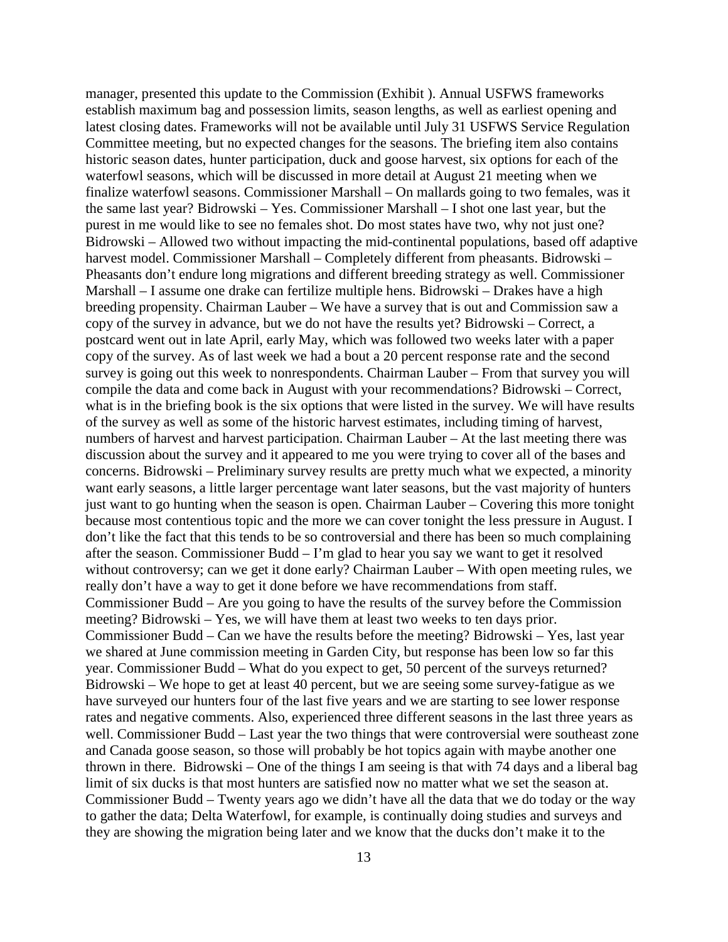manager, presented this update to the Commission (Exhibit ). Annual USFWS frameworks establish maximum bag and possession limits, season lengths, as well as earliest opening and latest closing dates. Frameworks will not be available until July 31 USFWS Service Regulation Committee meeting, but no expected changes for the seasons. The briefing item also contains historic season dates, hunter participation, duck and goose harvest, six options for each of the waterfowl seasons, which will be discussed in more detail at August 21 meeting when we finalize waterfowl seasons. Commissioner Marshall – On mallards going to two females, was it the same last year? Bidrowski – Yes. Commissioner Marshall – I shot one last year, but the purest in me would like to see no females shot. Do most states have two, why not just one? Bidrowski – Allowed two without impacting the mid-continental populations, based off adaptive harvest model. Commissioner Marshall – Completely different from pheasants. Bidrowski – Pheasants don't endure long migrations and different breeding strategy as well. Commissioner Marshall – I assume one drake can fertilize multiple hens. Bidrowski – Drakes have a high breeding propensity. Chairman Lauber – We have a survey that is out and Commission saw a copy of the survey in advance, but we do not have the results yet? Bidrowski – Correct, a postcard went out in late April, early May, which was followed two weeks later with a paper copy of the survey. As of last week we had a bout a 20 percent response rate and the second survey is going out this week to nonrespondents. Chairman Lauber – From that survey you will compile the data and come back in August with your recommendations? Bidrowski – Correct, what is in the briefing book is the six options that were listed in the survey. We will have results of the survey as well as some of the historic harvest estimates, including timing of harvest, numbers of harvest and harvest participation. Chairman Lauber – At the last meeting there was discussion about the survey and it appeared to me you were trying to cover all of the bases and concerns. Bidrowski – Preliminary survey results are pretty much what we expected, a minority want early seasons, a little larger percentage want later seasons, but the vast majority of hunters just want to go hunting when the season is open. Chairman Lauber – Covering this more tonight because most contentious topic and the more we can cover tonight the less pressure in August. I don't like the fact that this tends to be so controversial and there has been so much complaining after the season. Commissioner Budd – I'm glad to hear you say we want to get it resolved without controversy; can we get it done early? Chairman Lauber – With open meeting rules, we really don't have a way to get it done before we have recommendations from staff. Commissioner Budd – Are you going to have the results of the survey before the Commission meeting? Bidrowski – Yes, we will have them at least two weeks to ten days prior. Commissioner Budd – Can we have the results before the meeting? Bidrowski – Yes, last year we shared at June commission meeting in Garden City, but response has been low so far this year. Commissioner Budd – What do you expect to get, 50 percent of the surveys returned? Bidrowski – We hope to get at least 40 percent, but we are seeing some survey-fatigue as we have surveyed our hunters four of the last five years and we are starting to see lower response rates and negative comments. Also, experienced three different seasons in the last three years as well. Commissioner Budd – Last year the two things that were controversial were southeast zone and Canada goose season, so those will probably be hot topics again with maybe another one thrown in there. Bidrowski – One of the things I am seeing is that with 74 days and a liberal bag limit of six ducks is that most hunters are satisfied now no matter what we set the season at. Commissioner Budd – Twenty years ago we didn't have all the data that we do today or the way to gather the data; Delta Waterfowl, for example, is continually doing studies and surveys and they are showing the migration being later and we know that the ducks don't make it to the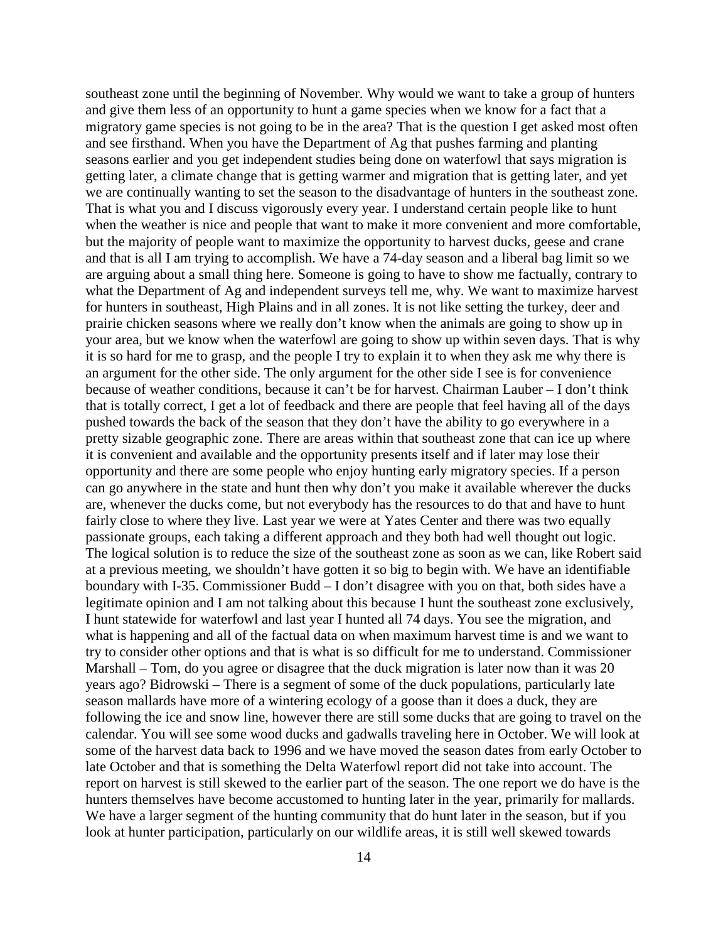southeast zone until the beginning of November. Why would we want to take a group of hunters and give them less of an opportunity to hunt a game species when we know for a fact that a migratory game species is not going to be in the area? That is the question I get asked most often and see firsthand. When you have the Department of Ag that pushes farming and planting seasons earlier and you get independent studies being done on waterfowl that says migration is getting later, a climate change that is getting warmer and migration that is getting later, and yet we are continually wanting to set the season to the disadvantage of hunters in the southeast zone. That is what you and I discuss vigorously every year. I understand certain people like to hunt when the weather is nice and people that want to make it more convenient and more comfortable, but the majority of people want to maximize the opportunity to harvest ducks, geese and crane and that is all I am trying to accomplish. We have a 74-day season and a liberal bag limit so we are arguing about a small thing here. Someone is going to have to show me factually, contrary to what the Department of Ag and independent surveys tell me, why. We want to maximize harvest for hunters in southeast, High Plains and in all zones. It is not like setting the turkey, deer and prairie chicken seasons where we really don't know when the animals are going to show up in your area, but we know when the waterfowl are going to show up within seven days. That is why it is so hard for me to grasp, and the people I try to explain it to when they ask me why there is an argument for the other side. The only argument for the other side I see is for convenience because of weather conditions, because it can't be for harvest. Chairman Lauber – I don't think that is totally correct, I get a lot of feedback and there are people that feel having all of the days pushed towards the back of the season that they don't have the ability to go everywhere in a pretty sizable geographic zone. There are areas within that southeast zone that can ice up where it is convenient and available and the opportunity presents itself and if later may lose their opportunity and there are some people who enjoy hunting early migratory species. If a person can go anywhere in the state and hunt then why don't you make it available wherever the ducks are, whenever the ducks come, but not everybody has the resources to do that and have to hunt fairly close to where they live. Last year we were at Yates Center and there was two equally passionate groups, each taking a different approach and they both had well thought out logic. The logical solution is to reduce the size of the southeast zone as soon as we can, like Robert said at a previous meeting, we shouldn't have gotten it so big to begin with. We have an identifiable boundary with I-35. Commissioner Budd – I don't disagree with you on that, both sides have a legitimate opinion and I am not talking about this because I hunt the southeast zone exclusively, I hunt statewide for waterfowl and last year I hunted all 74 days. You see the migration, and what is happening and all of the factual data on when maximum harvest time is and we want to try to consider other options and that is what is so difficult for me to understand. Commissioner Marshall – Tom, do you agree or disagree that the duck migration is later now than it was 20 years ago? Bidrowski – There is a segment of some of the duck populations, particularly late season mallards have more of a wintering ecology of a goose than it does a duck, they are following the ice and snow line, however there are still some ducks that are going to travel on the calendar. You will see some wood ducks and gadwalls traveling here in October. We will look at some of the harvest data back to 1996 and we have moved the season dates from early October to late October and that is something the Delta Waterfowl report did not take into account. The report on harvest is still skewed to the earlier part of the season. The one report we do have is the hunters themselves have become accustomed to hunting later in the year, primarily for mallards. We have a larger segment of the hunting community that do hunt later in the season, but if you look at hunter participation, particularly on our wildlife areas, it is still well skewed towards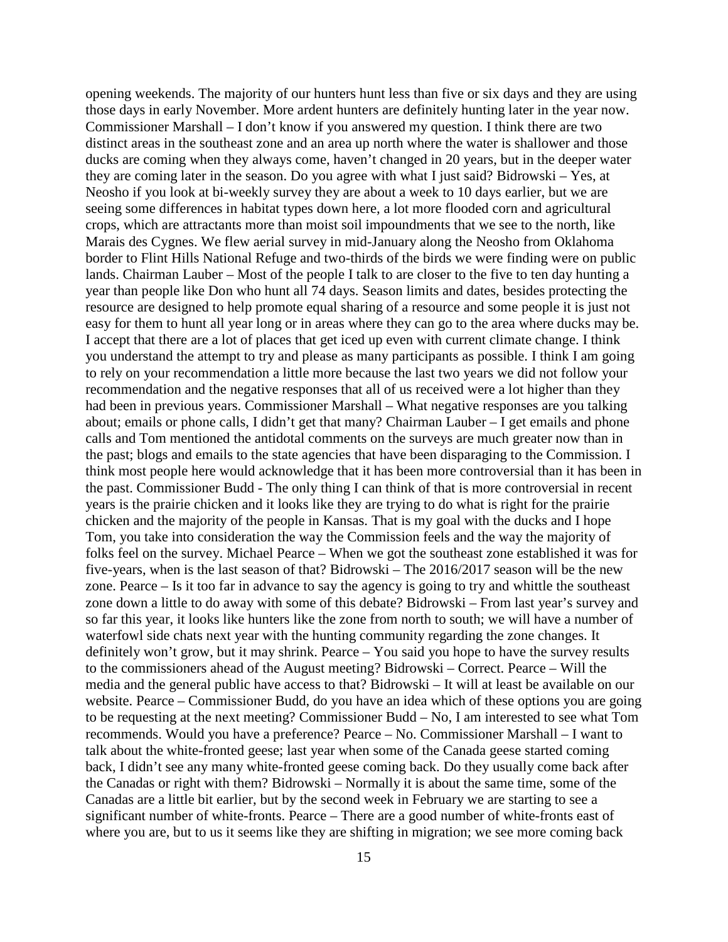opening weekends. The majority of our hunters hunt less than five or six days and they are using those days in early November. More ardent hunters are definitely hunting later in the year now. Commissioner Marshall – I don't know if you answered my question. I think there are two distinct areas in the southeast zone and an area up north where the water is shallower and those ducks are coming when they always come, haven't changed in 20 years, but in the deeper water they are coming later in the season. Do you agree with what I just said? Bidrowski – Yes, at Neosho if you look at bi-weekly survey they are about a week to 10 days earlier, but we are seeing some differences in habitat types down here, a lot more flooded corn and agricultural crops, which are attractants more than moist soil impoundments that we see to the north, like Marais des Cygnes. We flew aerial survey in mid-January along the Neosho from Oklahoma border to Flint Hills National Refuge and two-thirds of the birds we were finding were on public lands. Chairman Lauber – Most of the people I talk to are closer to the five to ten day hunting a year than people like Don who hunt all 74 days. Season limits and dates, besides protecting the resource are designed to help promote equal sharing of a resource and some people it is just not easy for them to hunt all year long or in areas where they can go to the area where ducks may be. I accept that there are a lot of places that get iced up even with current climate change. I think you understand the attempt to try and please as many participants as possible. I think I am going to rely on your recommendation a little more because the last two years we did not follow your recommendation and the negative responses that all of us received were a lot higher than they had been in previous years. Commissioner Marshall – What negative responses are you talking about; emails or phone calls, I didn't get that many? Chairman Lauber – I get emails and phone calls and Tom mentioned the antidotal comments on the surveys are much greater now than in the past; blogs and emails to the state agencies that have been disparaging to the Commission. I think most people here would acknowledge that it has been more controversial than it has been in the past. Commissioner Budd - The only thing I can think of that is more controversial in recent years is the prairie chicken and it looks like they are trying to do what is right for the prairie chicken and the majority of the people in Kansas. That is my goal with the ducks and I hope Tom, you take into consideration the way the Commission feels and the way the majority of folks feel on the survey. Michael Pearce – When we got the southeast zone established it was for five-years, when is the last season of that? Bidrowski – The 2016/2017 season will be the new zone. Pearce – Is it too far in advance to say the agency is going to try and whittle the southeast zone down a little to do away with some of this debate? Bidrowski – From last year's survey and so far this year, it looks like hunters like the zone from north to south; we will have a number of waterfowl side chats next year with the hunting community regarding the zone changes. It definitely won't grow, but it may shrink. Pearce – You said you hope to have the survey results to the commissioners ahead of the August meeting? Bidrowski – Correct. Pearce – Will the media and the general public have access to that? Bidrowski – It will at least be available on our website. Pearce – Commissioner Budd, do you have an idea which of these options you are going to be requesting at the next meeting? Commissioner Budd – No, I am interested to see what Tom recommends. Would you have a preference? Pearce – No. Commissioner Marshall – I want to talk about the white-fronted geese; last year when some of the Canada geese started coming back, I didn't see any many white-fronted geese coming back. Do they usually come back after the Canadas or right with them? Bidrowski – Normally it is about the same time, some of the Canadas are a little bit earlier, but by the second week in February we are starting to see a significant number of white-fronts. Pearce – There are a good number of white-fronts east of where you are, but to us it seems like they are shifting in migration; we see more coming back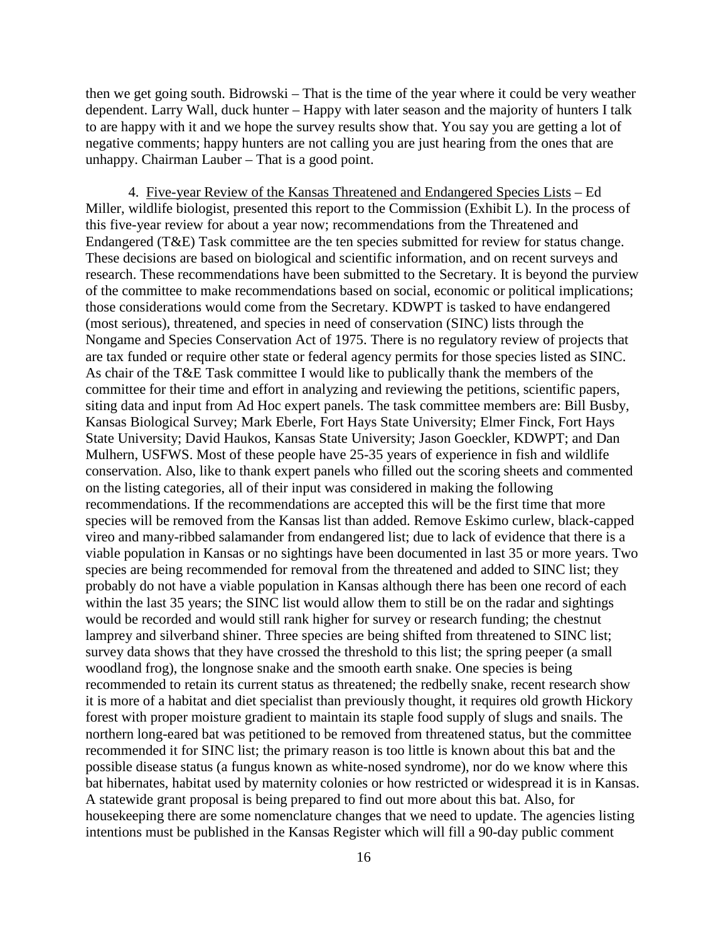then we get going south. Bidrowski – That is the time of the year where it could be very weather dependent. Larry Wall, duck hunter – Happy with later season and the majority of hunters I talk to are happy with it and we hope the survey results show that. You say you are getting a lot of negative comments; happy hunters are not calling you are just hearing from the ones that are unhappy. Chairman Lauber – That is a good point.

4. Five-year Review of the Kansas Threatened and Endangered Species Lists – Ed Miller, wildlife biologist, presented this report to the Commission (Exhibit L). In the process of this five-year review for about a year now; recommendations from the Threatened and Endangered (T&E) Task committee are the ten species submitted for review for status change. These decisions are based on biological and scientific information, and on recent surveys and research. These recommendations have been submitted to the Secretary. It is beyond the purview of the committee to make recommendations based on social, economic or political implications; those considerations would come from the Secretary. KDWPT is tasked to have endangered (most serious), threatened, and species in need of conservation (SINC) lists through the Nongame and Species Conservation Act of 1975. There is no regulatory review of projects that are tax funded or require other state or federal agency permits for those species listed as SINC. As chair of the T&E Task committee I would like to publically thank the members of the committee for their time and effort in analyzing and reviewing the petitions, scientific papers, siting data and input from Ad Hoc expert panels. The task committee members are: Bill Busby, Kansas Biological Survey; Mark Eberle, Fort Hays State University; Elmer Finck, Fort Hays State University; David Haukos, Kansas State University; Jason Goeckler, KDWPT; and Dan Mulhern, USFWS. Most of these people have 25-35 years of experience in fish and wildlife conservation. Also, like to thank expert panels who filled out the scoring sheets and commented on the listing categories, all of their input was considered in making the following recommendations. If the recommendations are accepted this will be the first time that more species will be removed from the Kansas list than added. Remove Eskimo curlew, black-capped vireo and many-ribbed salamander from endangered list; due to lack of evidence that there is a viable population in Kansas or no sightings have been documented in last 35 or more years. Two species are being recommended for removal from the threatened and added to SINC list; they probably do not have a viable population in Kansas although there has been one record of each within the last 35 years; the SINC list would allow them to still be on the radar and sightings would be recorded and would still rank higher for survey or research funding; the chestnut lamprey and silverband shiner. Three species are being shifted from threatened to SINC list; survey data shows that they have crossed the threshold to this list; the spring peeper (a small woodland frog), the longnose snake and the smooth earth snake. One species is being recommended to retain its current status as threatened; the redbelly snake, recent research show it is more of a habitat and diet specialist than previously thought, it requires old growth Hickory forest with proper moisture gradient to maintain its staple food supply of slugs and snails. The northern long-eared bat was petitioned to be removed from threatened status, but the committee recommended it for SINC list; the primary reason is too little is known about this bat and the possible disease status (a fungus known as white-nosed syndrome), nor do we know where this bat hibernates, habitat used by maternity colonies or how restricted or widespread it is in Kansas. A statewide grant proposal is being prepared to find out more about this bat. Also, for housekeeping there are some nomenclature changes that we need to update. The agencies listing intentions must be published in the Kansas Register which will fill a 90-day public comment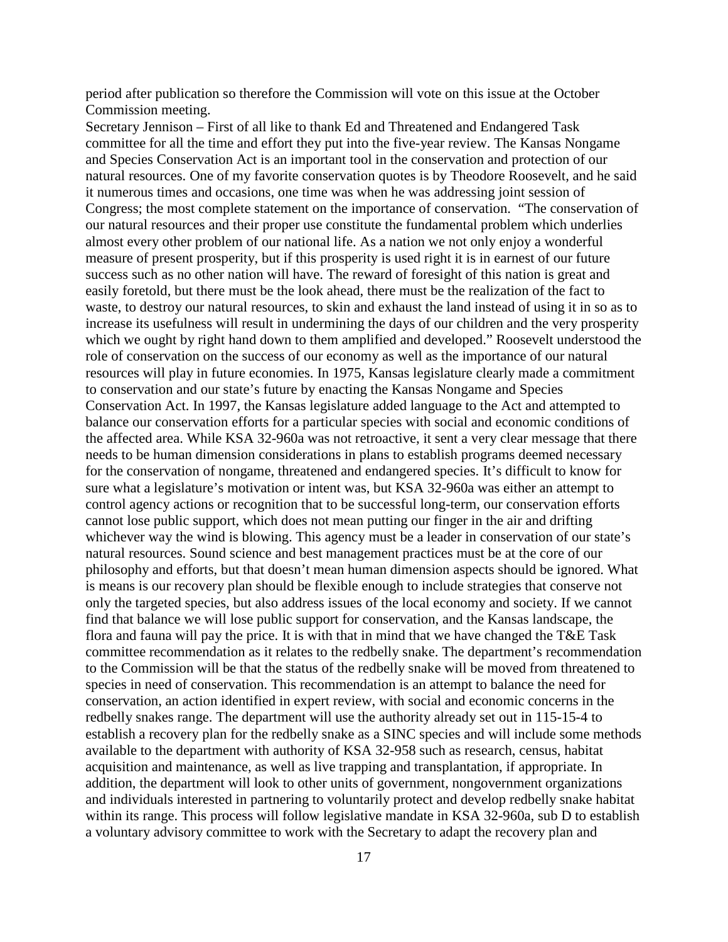period after publication so therefore the Commission will vote on this issue at the October Commission meeting.

Secretary Jennison – First of all like to thank Ed and Threatened and Endangered Task committee for all the time and effort they put into the five-year review. The Kansas Nongame and Species Conservation Act is an important tool in the conservation and protection of our natural resources. One of my favorite conservation quotes is by Theodore Roosevelt, and he said it numerous times and occasions, one time was when he was addressing joint session of Congress; the most complete statement on the importance of conservation. "The conservation of our natural resources and their proper use constitute the fundamental problem which underlies almost every other problem of our national life. As a nation we not only enjoy a wonderful measure of present prosperity, but if this prosperity is used right it is in earnest of our future success such as no other nation will have. The reward of foresight of this nation is great and easily foretold, but there must be the look ahead, there must be the realization of the fact to waste, to destroy our natural resources, to skin and exhaust the land instead of using it in so as to increase its usefulness will result in undermining the days of our children and the very prosperity which we ought by right hand down to them amplified and developed." Roosevelt understood the role of conservation on the success of our economy as well as the importance of our natural resources will play in future economies. In 1975, Kansas legislature clearly made a commitment to conservation and our state's future by enacting the Kansas Nongame and Species Conservation Act. In 1997, the Kansas legislature added language to the Act and attempted to balance our conservation efforts for a particular species with social and economic conditions of the affected area. While KSA 32-960a was not retroactive, it sent a very clear message that there needs to be human dimension considerations in plans to establish programs deemed necessary for the conservation of nongame, threatened and endangered species. It's difficult to know for sure what a legislature's motivation or intent was, but KSA 32-960a was either an attempt to control agency actions or recognition that to be successful long-term, our conservation efforts cannot lose public support, which does not mean putting our finger in the air and drifting whichever way the wind is blowing. This agency must be a leader in conservation of our state's natural resources. Sound science and best management practices must be at the core of our philosophy and efforts, but that doesn't mean human dimension aspects should be ignored. What is means is our recovery plan should be flexible enough to include strategies that conserve not only the targeted species, but also address issues of the local economy and society. If we cannot find that balance we will lose public support for conservation, and the Kansas landscape, the flora and fauna will pay the price. It is with that in mind that we have changed the T&E Task committee recommendation as it relates to the redbelly snake. The department's recommendation to the Commission will be that the status of the redbelly snake will be moved from threatened to species in need of conservation. This recommendation is an attempt to balance the need for conservation, an action identified in expert review, with social and economic concerns in the redbelly snakes range. The department will use the authority already set out in 115-15-4 to establish a recovery plan for the redbelly snake as a SINC species and will include some methods available to the department with authority of KSA 32-958 such as research, census, habitat acquisition and maintenance, as well as live trapping and transplantation, if appropriate. In addition, the department will look to other units of government, nongovernment organizations and individuals interested in partnering to voluntarily protect and develop redbelly snake habitat within its range. This process will follow legislative mandate in KSA 32-960a, sub D to establish a voluntary advisory committee to work with the Secretary to adapt the recovery plan and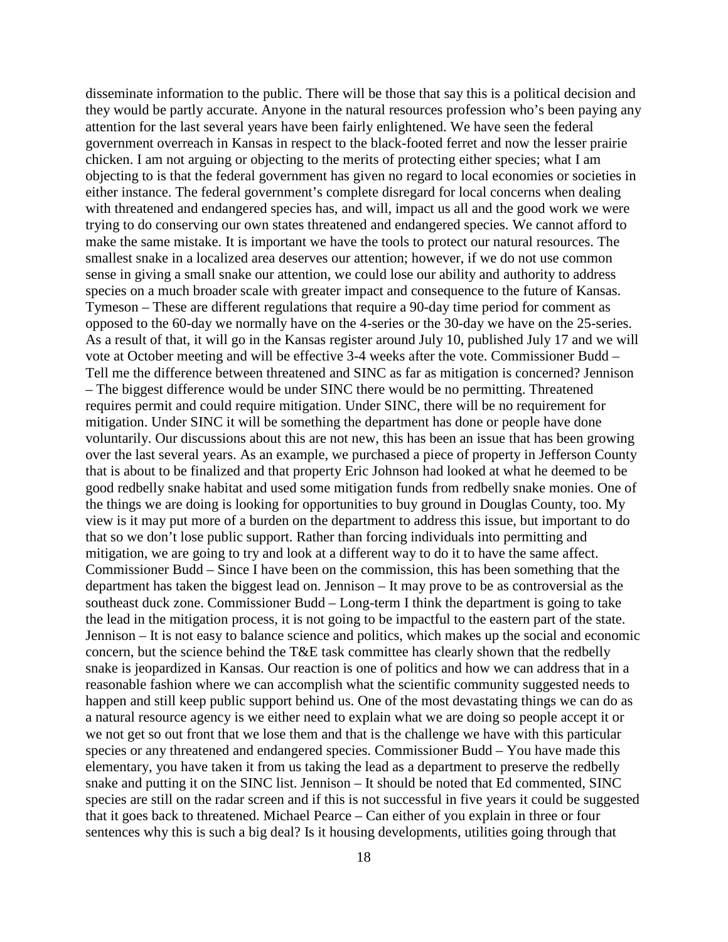disseminate information to the public. There will be those that say this is a political decision and they would be partly accurate. Anyone in the natural resources profession who's been paying any attention for the last several years have been fairly enlightened. We have seen the federal government overreach in Kansas in respect to the black-footed ferret and now the lesser prairie chicken. I am not arguing or objecting to the merits of protecting either species; what I am objecting to is that the federal government has given no regard to local economies or societies in either instance. The federal government's complete disregard for local concerns when dealing with threatened and endangered species has, and will, impact us all and the good work we were trying to do conserving our own states threatened and endangered species. We cannot afford to make the same mistake. It is important we have the tools to protect our natural resources. The smallest snake in a localized area deserves our attention; however, if we do not use common sense in giving a small snake our attention, we could lose our ability and authority to address species on a much broader scale with greater impact and consequence to the future of Kansas. Tymeson – These are different regulations that require a 90-day time period for comment as opposed to the 60-day we normally have on the 4-series or the 30-day we have on the 25-series. As a result of that, it will go in the Kansas register around July 10, published July 17 and we will vote at October meeting and will be effective 3-4 weeks after the vote. Commissioner Budd – Tell me the difference between threatened and SINC as far as mitigation is concerned? Jennison – The biggest difference would be under SINC there would be no permitting. Threatened requires permit and could require mitigation. Under SINC, there will be no requirement for mitigation. Under SINC it will be something the department has done or people have done voluntarily. Our discussions about this are not new, this has been an issue that has been growing over the last several years. As an example, we purchased a piece of property in Jefferson County that is about to be finalized and that property Eric Johnson had looked at what he deemed to be good redbelly snake habitat and used some mitigation funds from redbelly snake monies. One of the things we are doing is looking for opportunities to buy ground in Douglas County, too. My view is it may put more of a burden on the department to address this issue, but important to do that so we don't lose public support. Rather than forcing individuals into permitting and mitigation, we are going to try and look at a different way to do it to have the same affect. Commissioner Budd – Since I have been on the commission, this has been something that the department has taken the biggest lead on. Jennison – It may prove to be as controversial as the southeast duck zone. Commissioner Budd – Long-term I think the department is going to take the lead in the mitigation process, it is not going to be impactful to the eastern part of the state. Jennison – It is not easy to balance science and politics, which makes up the social and economic concern, but the science behind the T&E task committee has clearly shown that the redbelly snake is jeopardized in Kansas. Our reaction is one of politics and how we can address that in a reasonable fashion where we can accomplish what the scientific community suggested needs to happen and still keep public support behind us. One of the most devastating things we can do as a natural resource agency is we either need to explain what we are doing so people accept it or we not get so out front that we lose them and that is the challenge we have with this particular species or any threatened and endangered species. Commissioner Budd – You have made this elementary, you have taken it from us taking the lead as a department to preserve the redbelly snake and putting it on the SINC list. Jennison – It should be noted that Ed commented, SINC species are still on the radar screen and if this is not successful in five years it could be suggested that it goes back to threatened. Michael Pearce – Can either of you explain in three or four sentences why this is such a big deal? Is it housing developments, utilities going through that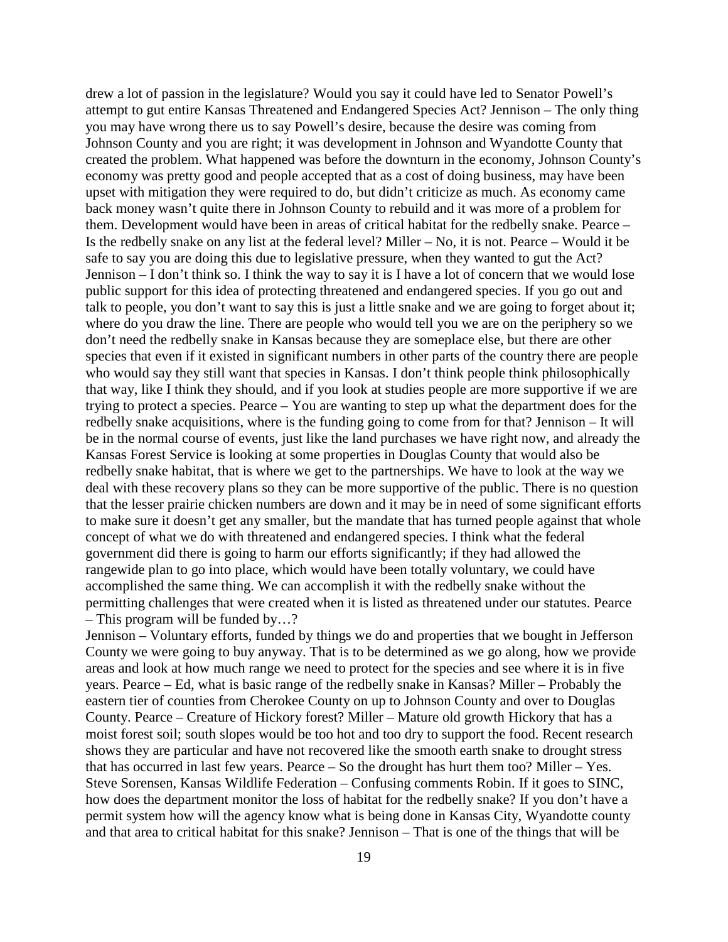drew a lot of passion in the legislature? Would you say it could have led to Senator Powell's attempt to gut entire Kansas Threatened and Endangered Species Act? Jennison – The only thing you may have wrong there us to say Powell's desire, because the desire was coming from Johnson County and you are right; it was development in Johnson and Wyandotte County that created the problem. What happened was before the downturn in the economy, Johnson County's economy was pretty good and people accepted that as a cost of doing business, may have been upset with mitigation they were required to do, but didn't criticize as much. As economy came back money wasn't quite there in Johnson County to rebuild and it was more of a problem for them. Development would have been in areas of critical habitat for the redbelly snake. Pearce – Is the redbelly snake on any list at the federal level? Miller – No, it is not. Pearce – Would it be safe to say you are doing this due to legislative pressure, when they wanted to gut the Act? Jennison – I don't think so. I think the way to say it is I have a lot of concern that we would lose public support for this idea of protecting threatened and endangered species. If you go out and talk to people, you don't want to say this is just a little snake and we are going to forget about it; where do you draw the line. There are people who would tell you we are on the periphery so we don't need the redbelly snake in Kansas because they are someplace else, but there are other species that even if it existed in significant numbers in other parts of the country there are people who would say they still want that species in Kansas. I don't think people think philosophically that way, like I think they should, and if you look at studies people are more supportive if we are trying to protect a species. Pearce – You are wanting to step up what the department does for the redbelly snake acquisitions, where is the funding going to come from for that? Jennison – It will be in the normal course of events, just like the land purchases we have right now, and already the Kansas Forest Service is looking at some properties in Douglas County that would also be redbelly snake habitat, that is where we get to the partnerships. We have to look at the way we deal with these recovery plans so they can be more supportive of the public. There is no question that the lesser prairie chicken numbers are down and it may be in need of some significant efforts to make sure it doesn't get any smaller, but the mandate that has turned people against that whole concept of what we do with threatened and endangered species. I think what the federal government did there is going to harm our efforts significantly; if they had allowed the rangewide plan to go into place, which would have been totally voluntary, we could have accomplished the same thing. We can accomplish it with the redbelly snake without the permitting challenges that were created when it is listed as threatened under our statutes. Pearce – This program will be funded by…?

Jennison – Voluntary efforts, funded by things we do and properties that we bought in Jefferson County we were going to buy anyway. That is to be determined as we go along, how we provide areas and look at how much range we need to protect for the species and see where it is in five years. Pearce – Ed, what is basic range of the redbelly snake in Kansas? Miller – Probably the eastern tier of counties from Cherokee County on up to Johnson County and over to Douglas County. Pearce – Creature of Hickory forest? Miller – Mature old growth Hickory that has a moist forest soil; south slopes would be too hot and too dry to support the food. Recent research shows they are particular and have not recovered like the smooth earth snake to drought stress that has occurred in last few years. Pearce – So the drought has hurt them too? Miller – Yes. Steve Sorensen, Kansas Wildlife Federation – Confusing comments Robin. If it goes to SINC, how does the department monitor the loss of habitat for the redbelly snake? If you don't have a permit system how will the agency know what is being done in Kansas City, Wyandotte county and that area to critical habitat for this snake? Jennison – That is one of the things that will be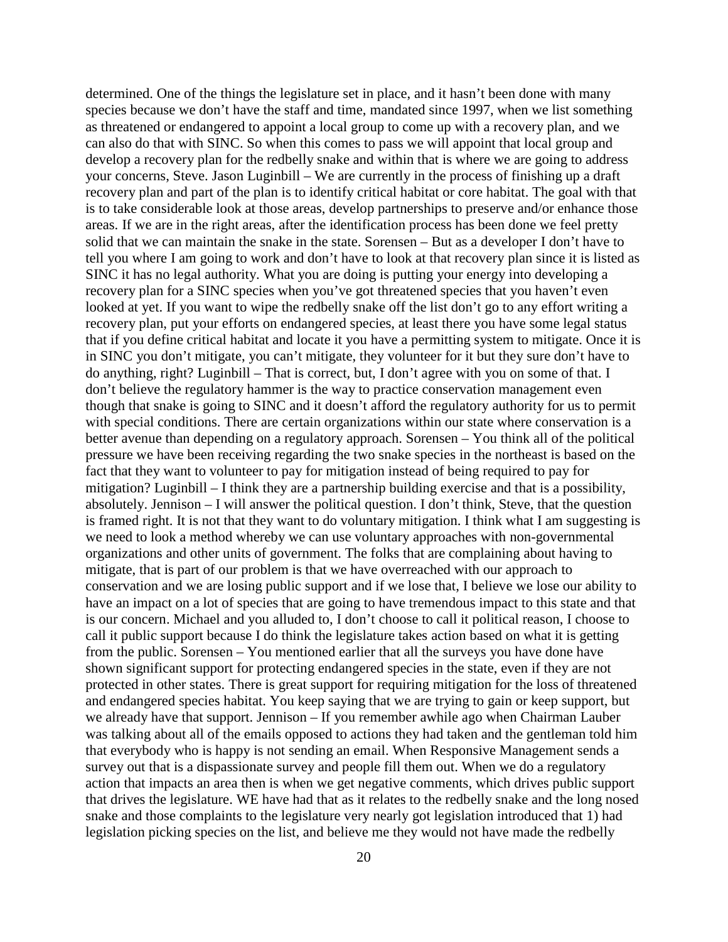determined. One of the things the legislature set in place, and it hasn't been done with many species because we don't have the staff and time, mandated since 1997, when we list something as threatened or endangered to appoint a local group to come up with a recovery plan, and we can also do that with SINC. So when this comes to pass we will appoint that local group and develop a recovery plan for the redbelly snake and within that is where we are going to address your concerns, Steve. Jason Luginbill – We are currently in the process of finishing up a draft recovery plan and part of the plan is to identify critical habitat or core habitat. The goal with that is to take considerable look at those areas, develop partnerships to preserve and/or enhance those areas. If we are in the right areas, after the identification process has been done we feel pretty solid that we can maintain the snake in the state. Sorensen – But as a developer I don't have to tell you where I am going to work and don't have to look at that recovery plan since it is listed as SINC it has no legal authority. What you are doing is putting your energy into developing a recovery plan for a SINC species when you've got threatened species that you haven't even looked at yet. If you want to wipe the redbelly snake off the list don't go to any effort writing a recovery plan, put your efforts on endangered species, at least there you have some legal status that if you define critical habitat and locate it you have a permitting system to mitigate. Once it is in SINC you don't mitigate, you can't mitigate, they volunteer for it but they sure don't have to do anything, right? Luginbill – That is correct, but, I don't agree with you on some of that. I don't believe the regulatory hammer is the way to practice conservation management even though that snake is going to SINC and it doesn't afford the regulatory authority for us to permit with special conditions. There are certain organizations within our state where conservation is a better avenue than depending on a regulatory approach. Sorensen – You think all of the political pressure we have been receiving regarding the two snake species in the northeast is based on the fact that they want to volunteer to pay for mitigation instead of being required to pay for mitigation? Luginbill – I think they are a partnership building exercise and that is a possibility, absolutely. Jennison – I will answer the political question. I don't think, Steve, that the question is framed right. It is not that they want to do voluntary mitigation. I think what I am suggesting is we need to look a method whereby we can use voluntary approaches with non-governmental organizations and other units of government. The folks that are complaining about having to mitigate, that is part of our problem is that we have overreached with our approach to conservation and we are losing public support and if we lose that, I believe we lose our ability to have an impact on a lot of species that are going to have tremendous impact to this state and that is our concern. Michael and you alluded to, I don't choose to call it political reason, I choose to call it public support because I do think the legislature takes action based on what it is getting from the public. Sorensen – You mentioned earlier that all the surveys you have done have shown significant support for protecting endangered species in the state, even if they are not protected in other states. There is great support for requiring mitigation for the loss of threatened and endangered species habitat. You keep saying that we are trying to gain or keep support, but we already have that support. Jennison – If you remember awhile ago when Chairman Lauber was talking about all of the emails opposed to actions they had taken and the gentleman told him that everybody who is happy is not sending an email. When Responsive Management sends a survey out that is a dispassionate survey and people fill them out. When we do a regulatory action that impacts an area then is when we get negative comments, which drives public support that drives the legislature. WE have had that as it relates to the redbelly snake and the long nosed snake and those complaints to the legislature very nearly got legislation introduced that 1) had legislation picking species on the list, and believe me they would not have made the redbelly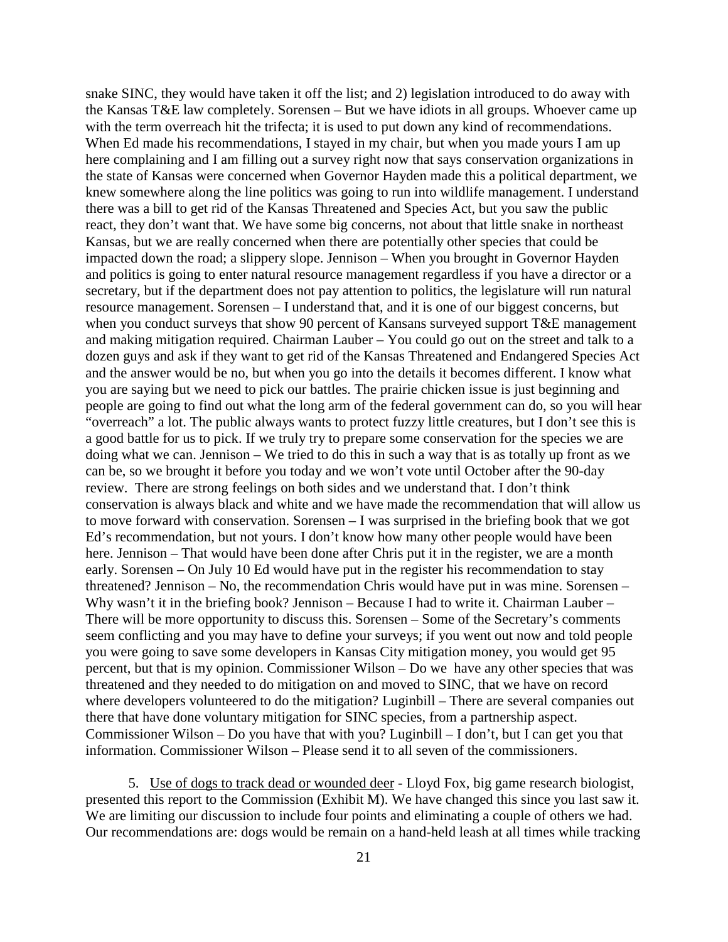snake SINC, they would have taken it off the list; and 2) legislation introduced to do away with the Kansas T&E law completely. Sorensen – But we have idiots in all groups. Whoever came up with the term overreach hit the trifecta; it is used to put down any kind of recommendations. When Ed made his recommendations, I stayed in my chair, but when you made yours I am up here complaining and I am filling out a survey right now that says conservation organizations in the state of Kansas were concerned when Governor Hayden made this a political department, we knew somewhere along the line politics was going to run into wildlife management. I understand there was a bill to get rid of the Kansas Threatened and Species Act, but you saw the public react, they don't want that. We have some big concerns, not about that little snake in northeast Kansas, but we are really concerned when there are potentially other species that could be impacted down the road; a slippery slope. Jennison – When you brought in Governor Hayden and politics is going to enter natural resource management regardless if you have a director or a secretary, but if the department does not pay attention to politics, the legislature will run natural resource management. Sorensen – I understand that, and it is one of our biggest concerns, but when you conduct surveys that show 90 percent of Kansans surveyed support T&E management and making mitigation required. Chairman Lauber – You could go out on the street and talk to a dozen guys and ask if they want to get rid of the Kansas Threatened and Endangered Species Act and the answer would be no, but when you go into the details it becomes different. I know what you are saying but we need to pick our battles. The prairie chicken issue is just beginning and people are going to find out what the long arm of the federal government can do, so you will hear "overreach" a lot. The public always wants to protect fuzzy little creatures, but I don't see this is a good battle for us to pick. If we truly try to prepare some conservation for the species we are doing what we can. Jennison – We tried to do this in such a way that is as totally up front as we can be, so we brought it before you today and we won't vote until October after the 90-day review. There are strong feelings on both sides and we understand that. I don't think conservation is always black and white and we have made the recommendation that will allow us to move forward with conservation. Sorensen – I was surprised in the briefing book that we got Ed's recommendation, but not yours. I don't know how many other people would have been here. Jennison – That would have been done after Chris put it in the register, we are a month early. Sorensen – On July 10 Ed would have put in the register his recommendation to stay threatened? Jennison – No, the recommendation Chris would have put in was mine. Sorensen – Why wasn't it in the briefing book? Jennison – Because I had to write it. Chairman Lauber – There will be more opportunity to discuss this. Sorensen – Some of the Secretary's comments seem conflicting and you may have to define your surveys; if you went out now and told people you were going to save some developers in Kansas City mitigation money, you would get 95 percent, but that is my opinion. Commissioner Wilson – Do we have any other species that was threatened and they needed to do mitigation on and moved to SINC, that we have on record where developers volunteered to do the mitigation? Luginbill – There are several companies out there that have done voluntary mitigation for SINC species, from a partnership aspect. Commissioner Wilson – Do you have that with you? Luginbill – I don't, but I can get you that information. Commissioner Wilson – Please send it to all seven of the commissioners.

5. Use of dogs to track dead or wounded deer - Lloyd Fox, big game research biologist, presented this report to the Commission (Exhibit M). We have changed this since you last saw it. We are limiting our discussion to include four points and eliminating a couple of others we had. Our recommendations are: dogs would be remain on a hand-held leash at all times while tracking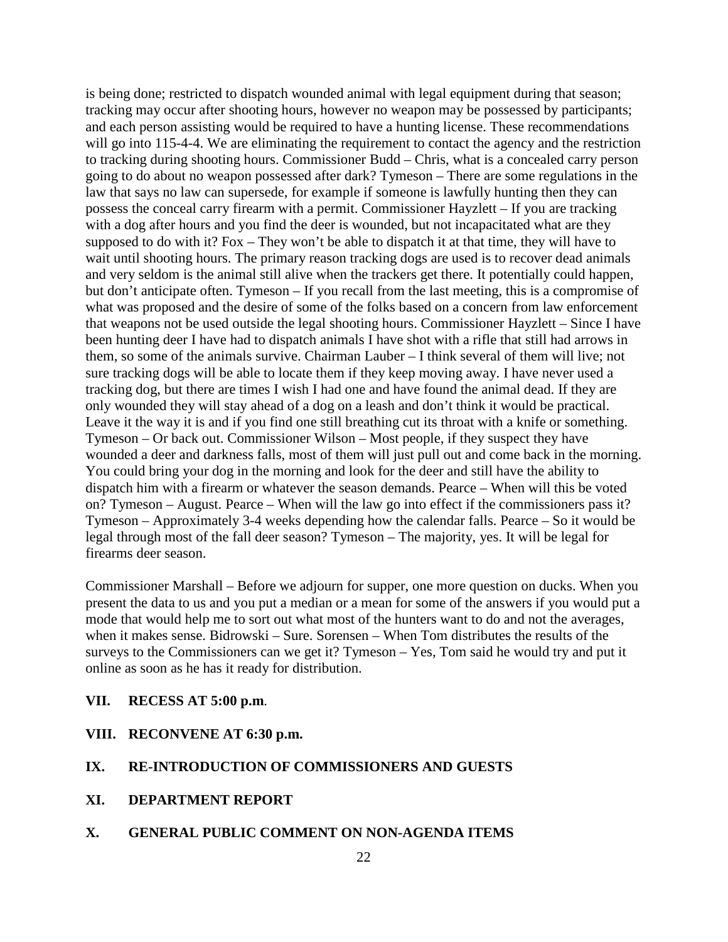is being done; restricted to dispatch wounded animal with legal equipment during that season; tracking may occur after shooting hours, however no weapon may be possessed by participants; and each person assisting would be required to have a hunting license. These recommendations will go into 115-4-4. We are eliminating the requirement to contact the agency and the restriction to tracking during shooting hours. Commissioner Budd – Chris, what is a concealed carry person going to do about no weapon possessed after dark? Tymeson – There are some regulations in the law that says no law can supersede, for example if someone is lawfully hunting then they can possess the conceal carry firearm with a permit. Commissioner Hayzlett – If you are tracking with a dog after hours and you find the deer is wounded, but not incapacitated what are they supposed to do with it? Fox – They won't be able to dispatch it at that time, they will have to wait until shooting hours. The primary reason tracking dogs are used is to recover dead animals and very seldom is the animal still alive when the trackers get there. It potentially could happen, but don't anticipate often. Tymeson – If you recall from the last meeting, this is a compromise of what was proposed and the desire of some of the folks based on a concern from law enforcement that weapons not be used outside the legal shooting hours. Commissioner Hayzlett – Since I have been hunting deer I have had to dispatch animals I have shot with a rifle that still had arrows in them, so some of the animals survive. Chairman Lauber – I think several of them will live; not sure tracking dogs will be able to locate them if they keep moving away. I have never used a tracking dog, but there are times I wish I had one and have found the animal dead. If they are only wounded they will stay ahead of a dog on a leash and don't think it would be practical. Leave it the way it is and if you find one still breathing cut its throat with a knife or something. Tymeson – Or back out. Commissioner Wilson – Most people, if they suspect they have wounded a deer and darkness falls, most of them will just pull out and come back in the morning. You could bring your dog in the morning and look for the deer and still have the ability to dispatch him with a firearm or whatever the season demands. Pearce – When will this be voted on? Tymeson – August. Pearce – When will the law go into effect if the commissioners pass it? Tymeson – Approximately 3-4 weeks depending how the calendar falls. Pearce – So it would be legal through most of the fall deer season? Tymeson – The majority, yes. It will be legal for firearms deer season.

Commissioner Marshall – Before we adjourn for supper, one more question on ducks. When you present the data to us and you put a median or a mean for some of the answers if you would put a mode that would help me to sort out what most of the hunters want to do and not the averages, when it makes sense. Bidrowski – Sure. Sorensen – When Tom distributes the results of the surveys to the Commissioners can we get it? Tymeson – Yes, Tom said he would try and put it online as soon as he has it ready for distribution.

- **VII. RECESS AT 5:00 p.m**.
- **VIII. RECONVENE AT 6:30 p.m.**

### **IX. RE-INTRODUCTION OF COMMISSIONERS AND GUESTS**

- **XI. DEPARTMENT REPORT**
- **X. GENERAL PUBLIC COMMENT ON NON-AGENDA ITEMS**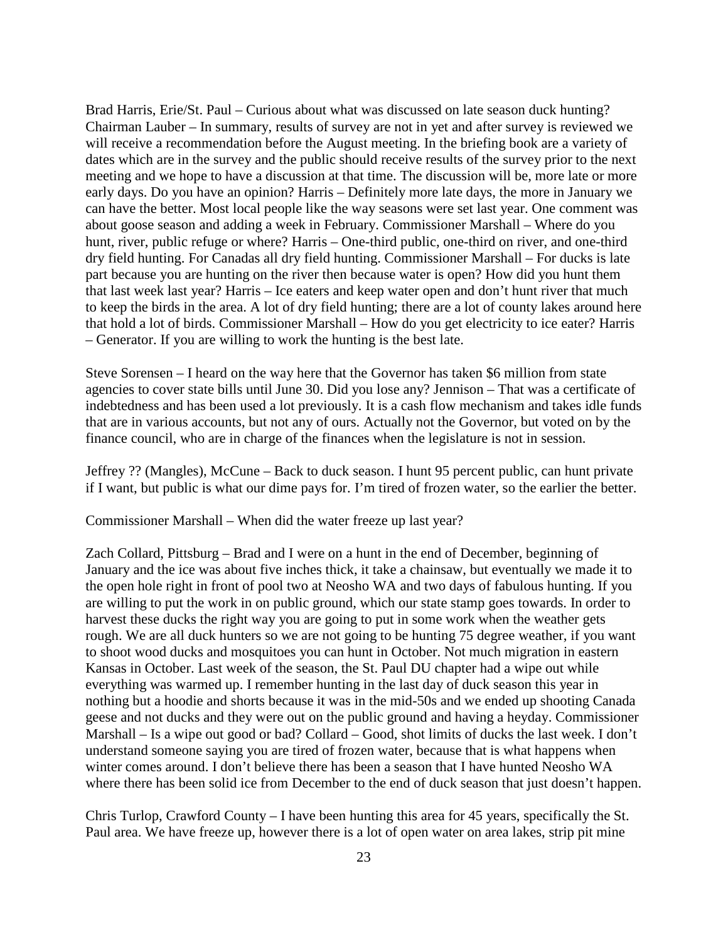Brad Harris, Erie/St. Paul – Curious about what was discussed on late season duck hunting? Chairman Lauber – In summary, results of survey are not in yet and after survey is reviewed we will receive a recommendation before the August meeting. In the briefing book are a variety of dates which are in the survey and the public should receive results of the survey prior to the next meeting and we hope to have a discussion at that time. The discussion will be, more late or more early days. Do you have an opinion? Harris – Definitely more late days, the more in January we can have the better. Most local people like the way seasons were set last year. One comment was about goose season and adding a week in February. Commissioner Marshall – Where do you hunt, river, public refuge or where? Harris – One-third public, one-third on river, and one-third dry field hunting. For Canadas all dry field hunting. Commissioner Marshall – For ducks is late part because you are hunting on the river then because water is open? How did you hunt them that last week last year? Harris – Ice eaters and keep water open and don't hunt river that much to keep the birds in the area. A lot of dry field hunting; there are a lot of county lakes around here that hold a lot of birds. Commissioner Marshall – How do you get electricity to ice eater? Harris – Generator. If you are willing to work the hunting is the best late.

Steve Sorensen – I heard on the way here that the Governor has taken \$6 million from state agencies to cover state bills until June 30. Did you lose any? Jennison – That was a certificate of indebtedness and has been used a lot previously. It is a cash flow mechanism and takes idle funds that are in various accounts, but not any of ours. Actually not the Governor, but voted on by the finance council, who are in charge of the finances when the legislature is not in session.

Jeffrey ?? (Mangles), McCune – Back to duck season. I hunt 95 percent public, can hunt private if I want, but public is what our dime pays for. I'm tired of frozen water, so the earlier the better.

Commissioner Marshall – When did the water freeze up last year?

Zach Collard, Pittsburg – Brad and I were on a hunt in the end of December, beginning of January and the ice was about five inches thick, it take a chainsaw, but eventually we made it to the open hole right in front of pool two at Neosho WA and two days of fabulous hunting. If you are willing to put the work in on public ground, which our state stamp goes towards. In order to harvest these ducks the right way you are going to put in some work when the weather gets rough. We are all duck hunters so we are not going to be hunting 75 degree weather, if you want to shoot wood ducks and mosquitoes you can hunt in October. Not much migration in eastern Kansas in October. Last week of the season, the St. Paul DU chapter had a wipe out while everything was warmed up. I remember hunting in the last day of duck season this year in nothing but a hoodie and shorts because it was in the mid-50s and we ended up shooting Canada geese and not ducks and they were out on the public ground and having a heyday. Commissioner Marshall – Is a wipe out good or bad? Collard – Good, shot limits of ducks the last week. I don't understand someone saying you are tired of frozen water, because that is what happens when winter comes around. I don't believe there has been a season that I have hunted Neosho WA where there has been solid ice from December to the end of duck season that just doesn't happen.

Chris Turlop, Crawford County – I have been hunting this area for 45 years, specifically the St. Paul area. We have freeze up, however there is a lot of open water on area lakes, strip pit mine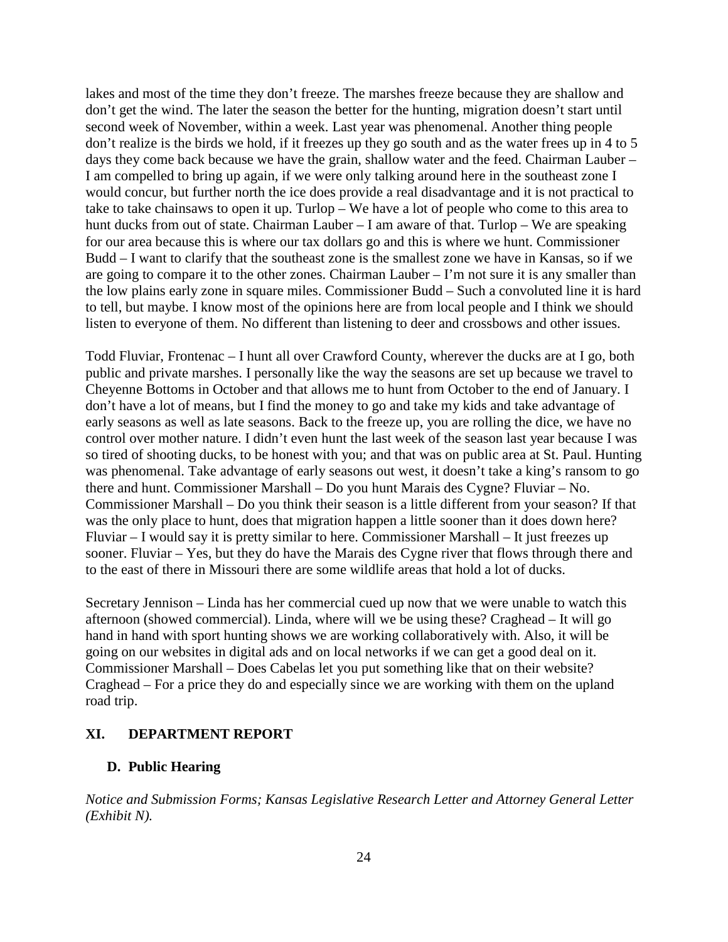lakes and most of the time they don't freeze. The marshes freeze because they are shallow and don't get the wind. The later the season the better for the hunting, migration doesn't start until second week of November, within a week. Last year was phenomenal. Another thing people don't realize is the birds we hold, if it freezes up they go south and as the water frees up in 4 to 5 days they come back because we have the grain, shallow water and the feed. Chairman Lauber – I am compelled to bring up again, if we were only talking around here in the southeast zone I would concur, but further north the ice does provide a real disadvantage and it is not practical to take to take chainsaws to open it up. Turlop – We have a lot of people who come to this area to hunt ducks from out of state. Chairman Lauber – I am aware of that. Turlop – We are speaking for our area because this is where our tax dollars go and this is where we hunt. Commissioner Budd – I want to clarify that the southeast zone is the smallest zone we have in Kansas, so if we are going to compare it to the other zones. Chairman Lauber – I'm not sure it is any smaller than the low plains early zone in square miles. Commissioner Budd – Such a convoluted line it is hard to tell, but maybe. I know most of the opinions here are from local people and I think we should listen to everyone of them. No different than listening to deer and crossbows and other issues.

Todd Fluviar, Frontenac – I hunt all over Crawford County, wherever the ducks are at I go, both public and private marshes. I personally like the way the seasons are set up because we travel to Cheyenne Bottoms in October and that allows me to hunt from October to the end of January. I don't have a lot of means, but I find the money to go and take my kids and take advantage of early seasons as well as late seasons. Back to the freeze up, you are rolling the dice, we have no control over mother nature. I didn't even hunt the last week of the season last year because I was so tired of shooting ducks, to be honest with you; and that was on public area at St. Paul. Hunting was phenomenal. Take advantage of early seasons out west, it doesn't take a king's ransom to go there and hunt. Commissioner Marshall – Do you hunt Marais des Cygne? Fluviar – No. Commissioner Marshall – Do you think their season is a little different from your season? If that was the only place to hunt, does that migration happen a little sooner than it does down here? Fluviar – I would say it is pretty similar to here. Commissioner Marshall – It just freezes up sooner. Fluviar – Yes, but they do have the Marais des Cygne river that flows through there and to the east of there in Missouri there are some wildlife areas that hold a lot of ducks.

Secretary Jennison – Linda has her commercial cued up now that we were unable to watch this afternoon (showed commercial). Linda, where will we be using these? Craghead – It will go hand in hand with sport hunting shows we are working collaboratively with. Also, it will be going on our websites in digital ads and on local networks if we can get a good deal on it. Commissioner Marshall – Does Cabelas let you put something like that on their website? Craghead – For a price they do and especially since we are working with them on the upland road trip.

### **XI. DEPARTMENT REPORT**

### **D. Public Hearing**

*Notice and Submission Forms; Kansas Legislative Research Letter and Attorney General Letter (Exhibit N).*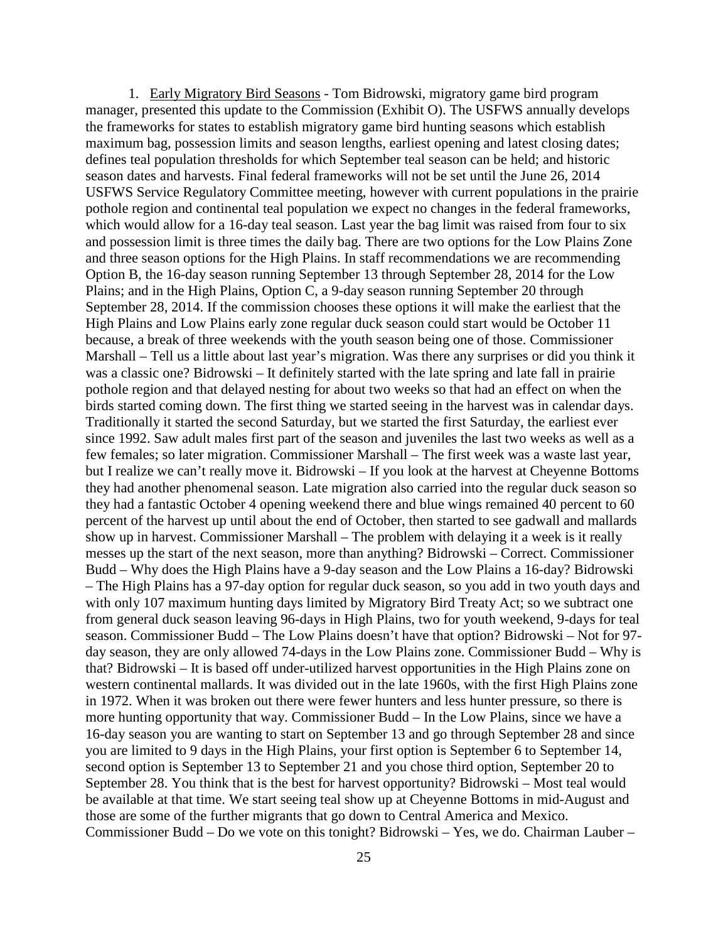1. Early Migratory Bird Seasons - Tom Bidrowski, migratory game bird program manager, presented this update to the Commission (Exhibit O). The USFWS annually develops the frameworks for states to establish migratory game bird hunting seasons which establish maximum bag, possession limits and season lengths, earliest opening and latest closing dates; defines teal population thresholds for which September teal season can be held; and historic season dates and harvests. Final federal frameworks will not be set until the June 26, 2014 USFWS Service Regulatory Committee meeting, however with current populations in the prairie pothole region and continental teal population we expect no changes in the federal frameworks, which would allow for a 16-day teal season. Last year the bag limit was raised from four to six and possession limit is three times the daily bag. There are two options for the Low Plains Zone and three season options for the High Plains. In staff recommendations we are recommending Option B, the 16-day season running September 13 through September 28, 2014 for the Low Plains; and in the High Plains, Option C, a 9-day season running September 20 through September 28, 2014. If the commission chooses these options it will make the earliest that the High Plains and Low Plains early zone regular duck season could start would be October 11 because, a break of three weekends with the youth season being one of those. Commissioner Marshall – Tell us a little about last year's migration. Was there any surprises or did you think it was a classic one? Bidrowski – It definitely started with the late spring and late fall in prairie pothole region and that delayed nesting for about two weeks so that had an effect on when the birds started coming down. The first thing we started seeing in the harvest was in calendar days. Traditionally it started the second Saturday, but we started the first Saturday, the earliest ever since 1992. Saw adult males first part of the season and juveniles the last two weeks as well as a few females; so later migration. Commissioner Marshall – The first week was a waste last year, but I realize we can't really move it. Bidrowski – If you look at the harvest at Cheyenne Bottoms they had another phenomenal season. Late migration also carried into the regular duck season so they had a fantastic October 4 opening weekend there and blue wings remained 40 percent to 60 percent of the harvest up until about the end of October, then started to see gadwall and mallards show up in harvest. Commissioner Marshall – The problem with delaying it a week is it really messes up the start of the next season, more than anything? Bidrowski – Correct. Commissioner Budd – Why does the High Plains have a 9-day season and the Low Plains a 16-day? Bidrowski – The High Plains has a 97-day option for regular duck season, so you add in two youth days and with only 107 maximum hunting days limited by Migratory Bird Treaty Act; so we subtract one from general duck season leaving 96-days in High Plains, two for youth weekend, 9-days for teal season. Commissioner Budd – The Low Plains doesn't have that option? Bidrowski – Not for 97 day season, they are only allowed 74-days in the Low Plains zone. Commissioner Budd – Why is that? Bidrowski – It is based off under-utilized harvest opportunities in the High Plains zone on western continental mallards. It was divided out in the late 1960s, with the first High Plains zone in 1972. When it was broken out there were fewer hunters and less hunter pressure, so there is more hunting opportunity that way. Commissioner Budd – In the Low Plains, since we have a 16-day season you are wanting to start on September 13 and go through September 28 and since you are limited to 9 days in the High Plains, your first option is September 6 to September 14, second option is September 13 to September 21 and you chose third option, September 20 to September 28. You think that is the best for harvest opportunity? Bidrowski – Most teal would be available at that time. We start seeing teal show up at Cheyenne Bottoms in mid-August and those are some of the further migrants that go down to Central America and Mexico. Commissioner Budd – Do we vote on this tonight? Bidrowski – Yes, we do. Chairman Lauber –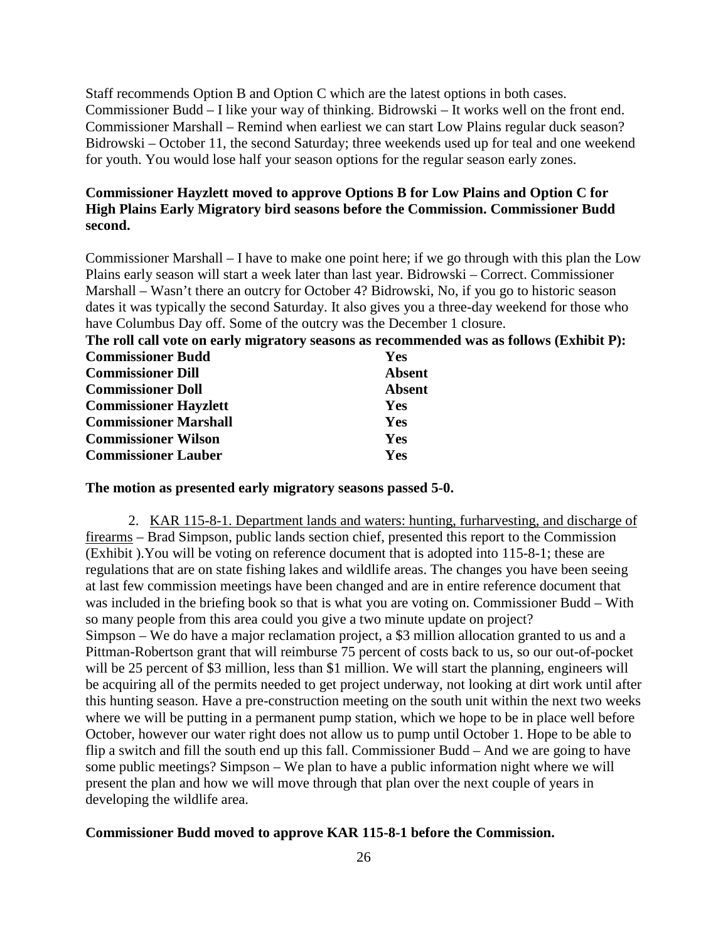Staff recommends Option B and Option C which are the latest options in both cases. Commissioner Budd – I like your way of thinking. Bidrowski – It works well on the front end. Commissioner Marshall – Remind when earliest we can start Low Plains regular duck season? Bidrowski – October 11, the second Saturday; three weekends used up for teal and one weekend for youth. You would lose half your season options for the regular season early zones.

### **Commissioner Hayzlett moved to approve Options B for Low Plains and Option C for High Plains Early Migratory bird seasons before the Commission. Commissioner Budd second.**

Commissioner Marshall – I have to make one point here; if we go through with this plan the Low Plains early season will start a week later than last year. Bidrowski – Correct. Commissioner Marshall – Wasn't there an outcry for October 4? Bidrowski, No, if you go to historic season dates it was typically the second Saturday. It also gives you a three-day weekend for those who have Columbus Day off. Some of the outcry was the December 1 closure.

| The roll call vote on early migratory seasons as recommended was as follows (Exhibit P): |               |  |
|------------------------------------------------------------------------------------------|---------------|--|
| <b>Commissioner Budd</b>                                                                 | <b>Yes</b>    |  |
| <b>Commissioner Dill</b>                                                                 | <b>Absent</b> |  |
| <b>Commissioner Doll</b>                                                                 | <b>Absent</b> |  |
| <b>Commissioner Hayzlett</b>                                                             | <b>Yes</b>    |  |
| <b>Commissioner Marshall</b>                                                             | <b>Yes</b>    |  |
| <b>Commissioner Wilson</b>                                                               | Yes           |  |
| <b>Commissioner Lauber</b>                                                               | Yes           |  |

#### **The motion as presented early migratory seasons passed 5-0.**

2. KAR 115-8-1. Department lands and waters: hunting, furharvesting, and discharge of firearms – Brad Simpson, public lands section chief, presented this report to the Commission (Exhibit ).You will be voting on reference document that is adopted into 115-8-1; these are regulations that are on state fishing lakes and wildlife areas. The changes you have been seeing at last few commission meetings have been changed and are in entire reference document that was included in the briefing book so that is what you are voting on. Commissioner Budd – With so many people from this area could you give a two minute update on project? Simpson – We do have a major reclamation project, a \$3 million allocation granted to us and a Pittman-Robertson grant that will reimburse 75 percent of costs back to us, so our out-of-pocket will be 25 percent of \$3 million, less than \$1 million. We will start the planning, engineers will be acquiring all of the permits needed to get project underway, not looking at dirt work until after this hunting season. Have a pre-construction meeting on the south unit within the next two weeks where we will be putting in a permanent pump station, which we hope to be in place well before October, however our water right does not allow us to pump until October 1. Hope to be able to flip a switch and fill the south end up this fall. Commissioner Budd – And we are going to have some public meetings? Simpson – We plan to have a public information night where we will present the plan and how we will move through that plan over the next couple of years in developing the wildlife area.

#### **Commissioner Budd moved to approve KAR 115-8-1 before the Commission.**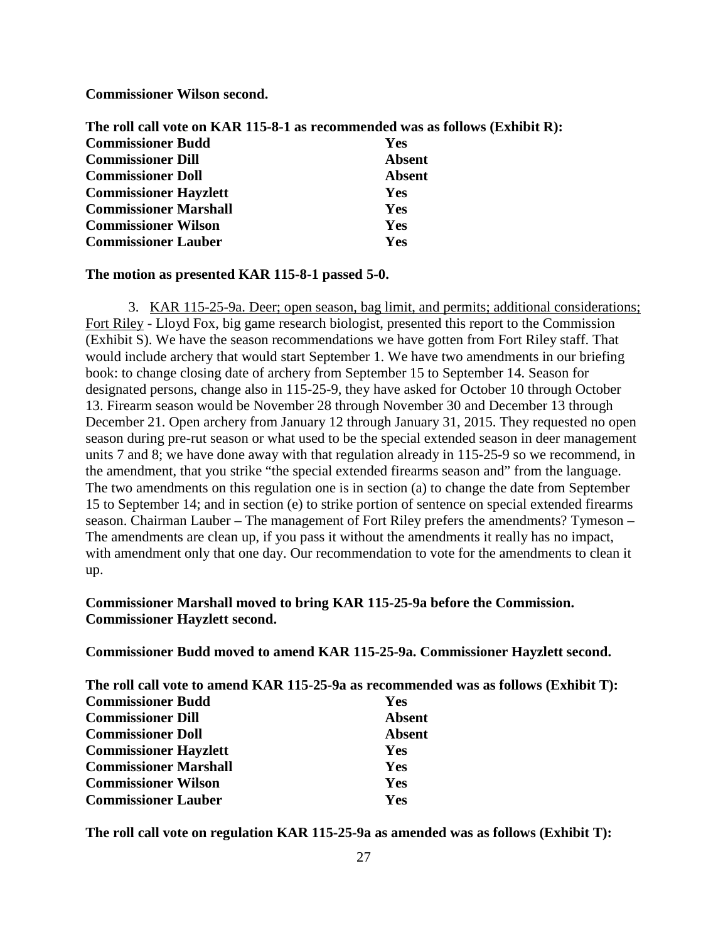**Commissioner Wilson second.**

| The roll call vote on KAR 115-8-1 as recommended was as follows (Exhibit R): |               |  |
|------------------------------------------------------------------------------|---------------|--|
| <b>Commissioner Budd</b>                                                     | <b>Yes</b>    |  |
| <b>Commissioner Dill</b>                                                     | Absent        |  |
| <b>Commissioner Doll</b>                                                     | <b>Absent</b> |  |
| <b>Commissioner Hayzlett</b>                                                 | <b>Yes</b>    |  |
| <b>Commissioner Marshall</b>                                                 | <b>Yes</b>    |  |
| <b>Commissioner Wilson</b>                                                   | Yes           |  |
| <b>Commissioner Lauber</b>                                                   | Yes           |  |

#### **The motion as presented KAR 115-8-1 passed 5-0.**

3. KAR 115-25-9a. Deer; open season, bag limit, and permits; additional considerations; Fort Riley - Lloyd Fox, big game research biologist, presented this report to the Commission (Exhibit S). We have the season recommendations we have gotten from Fort Riley staff. That would include archery that would start September 1. We have two amendments in our briefing book: to change closing date of archery from September 15 to September 14. Season for designated persons, change also in 115-25-9, they have asked for October 10 through October 13. Firearm season would be November 28 through November 30 and December 13 through December 21. Open archery from January 12 through January 31, 2015. They requested no open season during pre-rut season or what used to be the special extended season in deer management units 7 and 8; we have done away with that regulation already in 115-25-9 so we recommend, in the amendment, that you strike "the special extended firearms season and" from the language. The two amendments on this regulation one is in section (a) to change the date from September 15 to September 14; and in section (e) to strike portion of sentence on special extended firearms season. Chairman Lauber – The management of Fort Riley prefers the amendments? Tymeson – The amendments are clean up, if you pass it without the amendments it really has no impact, with amendment only that one day. Our recommendation to vote for the amendments to clean it up.

### **Commissioner Marshall moved to bring KAR 115-25-9a before the Commission. Commissioner Hayzlett second.**

**Commissioner Budd moved to amend KAR 115-25-9a. Commissioner Hayzlett second.**

| The roll call vote to amend KAR 115-25-9a as recommended was as follows (Exhibit T): |               |
|--------------------------------------------------------------------------------------|---------------|
| <b>Commissioner Budd</b>                                                             | <b>Yes</b>    |
| <b>Commissioner Dill</b>                                                             | <b>Absent</b> |
| <b>Commissioner Doll</b>                                                             | <b>Absent</b> |
| <b>Commissioner Hayzlett</b>                                                         | Yes           |
| <b>Commissioner Marshall</b>                                                         | <b>Yes</b>    |
| <b>Commissioner Wilson</b>                                                           | Yes           |
| <b>Commissioner Lauber</b>                                                           | Yes           |

**The roll call vote on regulation KAR 115-25-9a as amended was as follows (Exhibit T):**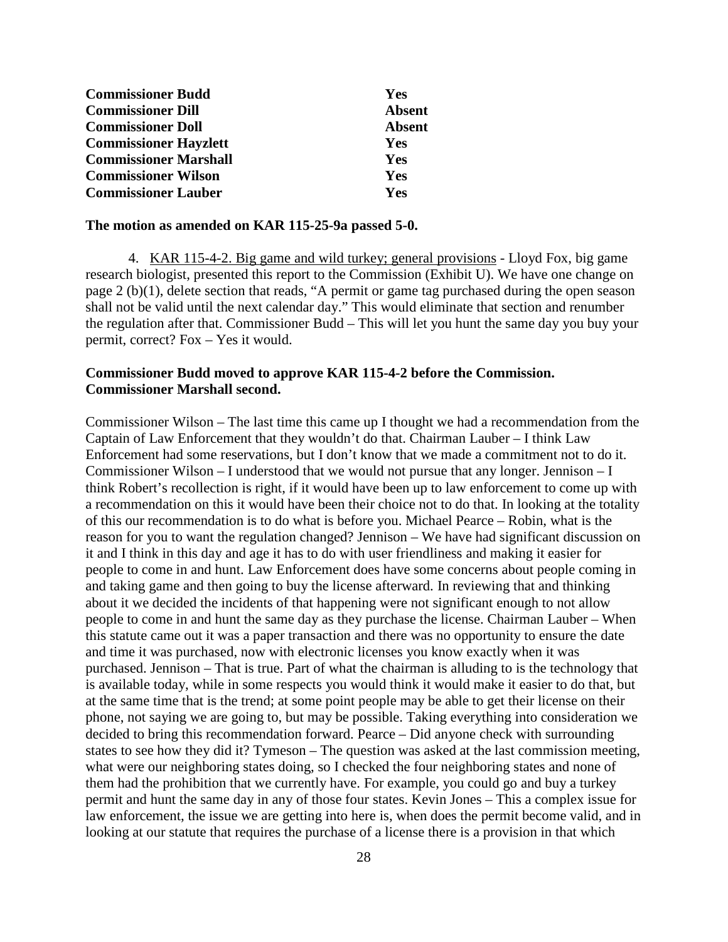| <b>Commissioner Budd</b>     | <b>Yes</b>    |
|------------------------------|---------------|
| <b>Commissioner Dill</b>     | <b>Absent</b> |
| <b>Commissioner Doll</b>     | <b>Absent</b> |
| <b>Commissioner Hayzlett</b> | <b>Yes</b>    |
| <b>Commissioner Marshall</b> | <b>Yes</b>    |
| <b>Commissioner Wilson</b>   | Yes           |
| <b>Commissioner Lauber</b>   | Yes           |

#### **The motion as amended on KAR 115-25-9a passed 5-0.**

4. KAR 115-4-2. Big game and wild turkey; general provisions - Lloyd Fox, big game research biologist, presented this report to the Commission (Exhibit U). We have one change on page 2 (b)(1), delete section that reads, "A permit or game tag purchased during the open season shall not be valid until the next calendar day." This would eliminate that section and renumber the regulation after that. Commissioner Budd – This will let you hunt the same day you buy your permit, correct? Fox – Yes it would.

### **Commissioner Budd moved to approve KAR 115-4-2 before the Commission. Commissioner Marshall second.**

Commissioner Wilson – The last time this came up I thought we had a recommendation from the Captain of Law Enforcement that they wouldn't do that. Chairman Lauber – I think Law Enforcement had some reservations, but I don't know that we made a commitment not to do it. Commissioner Wilson – I understood that we would not pursue that any longer. Jennison – I think Robert's recollection is right, if it would have been up to law enforcement to come up with a recommendation on this it would have been their choice not to do that. In looking at the totality of this our recommendation is to do what is before you. Michael Pearce – Robin, what is the reason for you to want the regulation changed? Jennison – We have had significant discussion on it and I think in this day and age it has to do with user friendliness and making it easier for people to come in and hunt. Law Enforcement does have some concerns about people coming in and taking game and then going to buy the license afterward. In reviewing that and thinking about it we decided the incidents of that happening were not significant enough to not allow people to come in and hunt the same day as they purchase the license. Chairman Lauber – When this statute came out it was a paper transaction and there was no opportunity to ensure the date and time it was purchased, now with electronic licenses you know exactly when it was purchased. Jennison – That is true. Part of what the chairman is alluding to is the technology that is available today, while in some respects you would think it would make it easier to do that, but at the same time that is the trend; at some point people may be able to get their license on their phone, not saying we are going to, but may be possible. Taking everything into consideration we decided to bring this recommendation forward. Pearce – Did anyone check with surrounding states to see how they did it? Tymeson – The question was asked at the last commission meeting, what were our neighboring states doing, so I checked the four neighboring states and none of them had the prohibition that we currently have. For example, you could go and buy a turkey permit and hunt the same day in any of those four states. Kevin Jones – This a complex issue for law enforcement, the issue we are getting into here is, when does the permit become valid, and in looking at our statute that requires the purchase of a license there is a provision in that which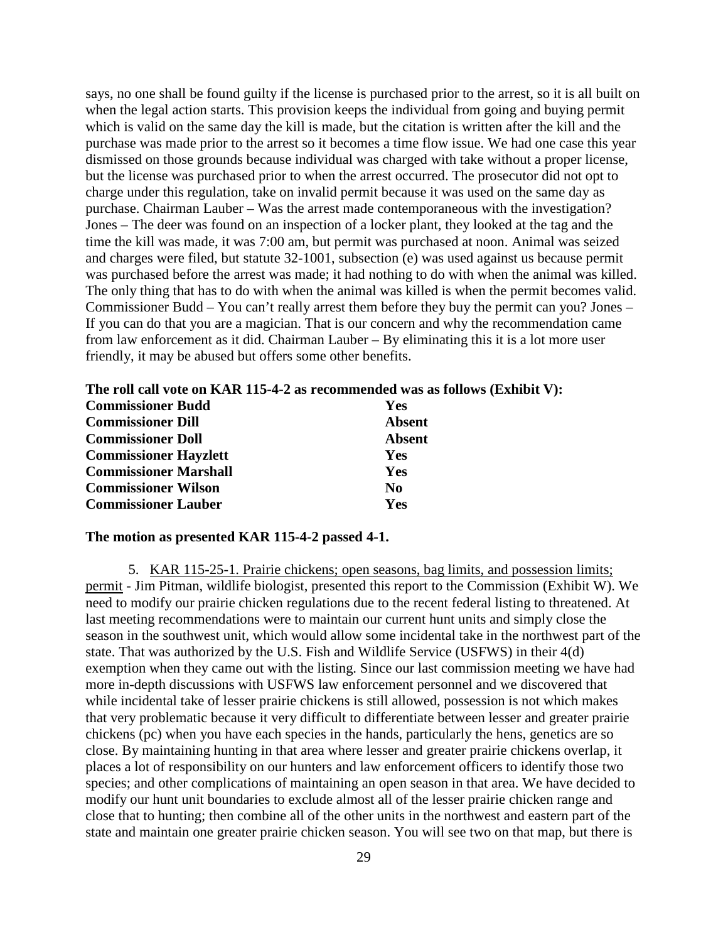says, no one shall be found guilty if the license is purchased prior to the arrest, so it is all built on when the legal action starts. This provision keeps the individual from going and buying permit which is valid on the same day the kill is made, but the citation is written after the kill and the purchase was made prior to the arrest so it becomes a time flow issue. We had one case this year dismissed on those grounds because individual was charged with take without a proper license, but the license was purchased prior to when the arrest occurred. The prosecutor did not opt to charge under this regulation, take on invalid permit because it was used on the same day as purchase. Chairman Lauber – Was the arrest made contemporaneous with the investigation? Jones – The deer was found on an inspection of a locker plant, they looked at the tag and the time the kill was made, it was 7:00 am, but permit was purchased at noon. Animal was seized and charges were filed, but statute 32-1001, subsection (e) was used against us because permit was purchased before the arrest was made; it had nothing to do with when the animal was killed. The only thing that has to do with when the animal was killed is when the permit becomes valid. Commissioner Budd – You can't really arrest them before they buy the permit can you? Jones – If you can do that you are a magician. That is our concern and why the recommendation came from law enforcement as it did. Chairman Lauber – By eliminating this it is a lot more user friendly, it may be abused but offers some other benefits.

**The roll call vote on KAR 115-4-2 as recommended was as follows (Exhibit V):**

| <b>Commissioner Budd</b>     | Yes            |
|------------------------------|----------------|
| <b>Commissioner Dill</b>     | Absent         |
| <b>Commissioner Doll</b>     | <b>Absent</b>  |
| <b>Commissioner Hayzlett</b> | Yes            |
| <b>Commissioner Marshall</b> | <b>Yes</b>     |
| <b>Commissioner Wilson</b>   | N <sub>0</sub> |
| <b>Commissioner Lauber</b>   | Yes            |

#### **The motion as presented KAR 115-4-2 passed 4-1.**

5. KAR 115-25-1. Prairie chickens; open seasons, bag limits, and possession limits; permit - Jim Pitman, wildlife biologist, presented this report to the Commission (Exhibit W). We need to modify our prairie chicken regulations due to the recent federal listing to threatened. At last meeting recommendations were to maintain our current hunt units and simply close the season in the southwest unit, which would allow some incidental take in the northwest part of the state. That was authorized by the U.S. Fish and Wildlife Service (USFWS) in their 4(d) exemption when they came out with the listing. Since our last commission meeting we have had more in-depth discussions with USFWS law enforcement personnel and we discovered that while incidental take of lesser prairie chickens is still allowed, possession is not which makes that very problematic because it very difficult to differentiate between lesser and greater prairie chickens (pc) when you have each species in the hands, particularly the hens, genetics are so close. By maintaining hunting in that area where lesser and greater prairie chickens overlap, it places a lot of responsibility on our hunters and law enforcement officers to identify those two species; and other complications of maintaining an open season in that area. We have decided to modify our hunt unit boundaries to exclude almost all of the lesser prairie chicken range and close that to hunting; then combine all of the other units in the northwest and eastern part of the state and maintain one greater prairie chicken season. You will see two on that map, but there is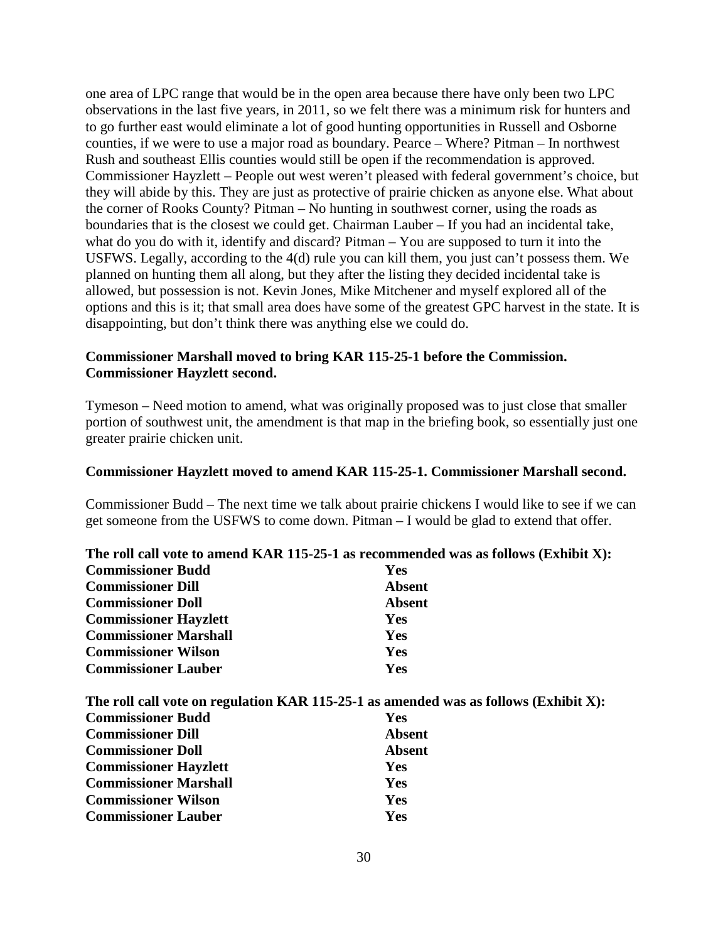one area of LPC range that would be in the open area because there have only been two LPC observations in the last five years, in 2011, so we felt there was a minimum risk for hunters and to go further east would eliminate a lot of good hunting opportunities in Russell and Osborne counties, if we were to use a major road as boundary. Pearce – Where? Pitman – In northwest Rush and southeast Ellis counties would still be open if the recommendation is approved. Commissioner Hayzlett – People out west weren't pleased with federal government's choice, but they will abide by this. They are just as protective of prairie chicken as anyone else. What about the corner of Rooks County? Pitman – No hunting in southwest corner, using the roads as boundaries that is the closest we could get. Chairman Lauber – If you had an incidental take, what do you do with it, identify and discard? Pitman – You are supposed to turn it into the USFWS. Legally, according to the 4(d) rule you can kill them, you just can't possess them. We planned on hunting them all along, but they after the listing they decided incidental take is allowed, but possession is not. Kevin Jones, Mike Mitchener and myself explored all of the options and this is it; that small area does have some of the greatest GPC harvest in the state. It is disappointing, but don't think there was anything else we could do.

### **Commissioner Marshall moved to bring KAR 115-25-1 before the Commission. Commissioner Hayzlett second.**

Tymeson – Need motion to amend, what was originally proposed was to just close that smaller portion of southwest unit, the amendment is that map in the briefing book, so essentially just one greater prairie chicken unit.

#### **Commissioner Hayzlett moved to amend KAR 115-25-1. Commissioner Marshall second.**

Commissioner Budd – The next time we talk about prairie chickens I would like to see if we can get someone from the USFWS to come down. Pitman – I would be glad to extend that offer.

|                              | The roll call vote to amend KAR 115-25-1 as recommended was as follows (Exhibit X): |
|------------------------------|-------------------------------------------------------------------------------------|
| <b>Commissioner Budd</b>     | <b>Yes</b>                                                                          |
| <b>Commissioner Dill</b>     | <b>Absent</b>                                                                       |
| <b>Commissioner Doll</b>     | Absent                                                                              |
| <b>Commissioner Hayzlett</b> | <b>Yes</b>                                                                          |
| <b>Commissioner Marshall</b> | <b>Yes</b>                                                                          |
| <b>Commissioner Wilson</b>   | Yes                                                                                 |
| <b>Commissioner Lauber</b>   | <b>Yes</b>                                                                          |
|                              |                                                                                     |

| <b>Commissioner Budd</b><br><b>Yes</b><br><b>Commissioner Dill</b><br><b>Absent</b><br><b>Commissioner Doll</b><br><b>Absent</b><br><b>Commissioner Hayzlett</b><br><b>Yes</b><br><b>Commissioner Marshall</b><br><b>Yes</b><br><b>Commissioner Wilson</b><br><b>Yes</b><br><b>Commissioner Lauber</b><br>Yes | The roll call vote on regulation KAR 115-25-1 as amended was as follows (Exhibit X): |
|---------------------------------------------------------------------------------------------------------------------------------------------------------------------------------------------------------------------------------------------------------------------------------------------------------------|--------------------------------------------------------------------------------------|
|                                                                                                                                                                                                                                                                                                               |                                                                                      |
|                                                                                                                                                                                                                                                                                                               |                                                                                      |
|                                                                                                                                                                                                                                                                                                               |                                                                                      |
|                                                                                                                                                                                                                                                                                                               |                                                                                      |
|                                                                                                                                                                                                                                                                                                               |                                                                                      |
|                                                                                                                                                                                                                                                                                                               |                                                                                      |
|                                                                                                                                                                                                                                                                                                               |                                                                                      |